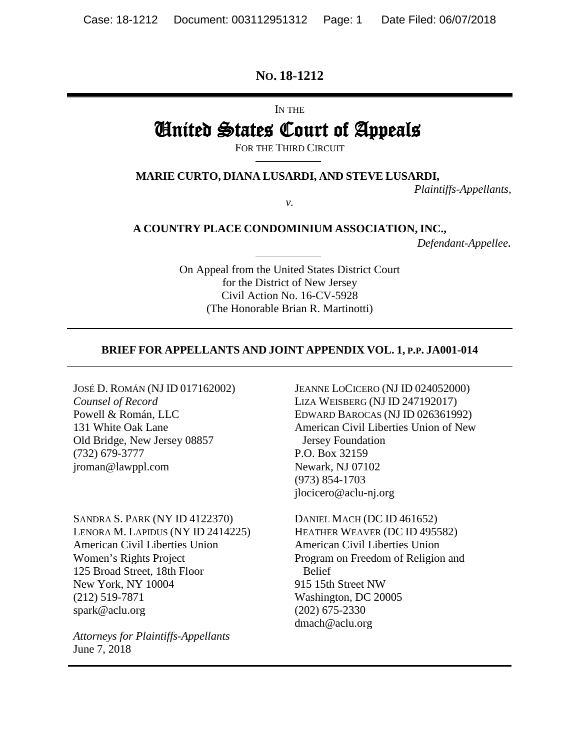## **NO. 18-1212**

IN THE

# United States Court of Appeals

FOR THE THIRD CIRCUIT

**MARIE CURTO, DIANA LUSARDI, AND STEVE LUSARDI,**

*v.*

*Plaintiffs-Appellants,* 

**A COUNTRY PLACE CONDOMINIUM ASSOCIATION, INC.,**

*Defendant-Appellee.* 

On Appeal from the United States District Court for the District of New Jersey Civil Action No. 16-CV-5928 (The Honorable Brian R. Martinotti)

### **BRIEF FOR APPELLANTS AND JOINT APPENDIX VOL. 1, P.P. JA001-014**

JOSÉ D. ROMÁN (NJ ID 017162002) *Counsel of Record* Powell & Román, LLC 131 White Oak Lane Old Bridge, New Jersey 08857 (732) 679-3777 jroman@lawppl.com

SANDRA S. PARK (NY ID 4122370) LENORA M. LAPIDUS (NY ID 2414225) American Civil Liberties Union Women's Rights Project 125 Broad Street, 18th Floor New York, NY 10004 (212) 519-7871 spark@aclu.org

*Attorneys for Plaintiffs-Appellants* June 7, 2018

JEANNE LOCICERO (NJ ID 024052000) LIZA WEISBERG (NJ ID 247192017) EDWARD BAROCAS (NJ ID 026361992) American Civil Liberties Union of New Jersey Foundation P.O. Box 32159 Newark, NJ 07102 (973) 854-1703 jlocicero@aclu-nj.org

DANIEL MACH (DC ID 461652) HEATHER WEAVER (DC ID 495582) American Civil Liberties Union Program on Freedom of Religion and Belief 915 15th Street NW Washington, DC 20005 (202) 675-2330 dmach@aclu.org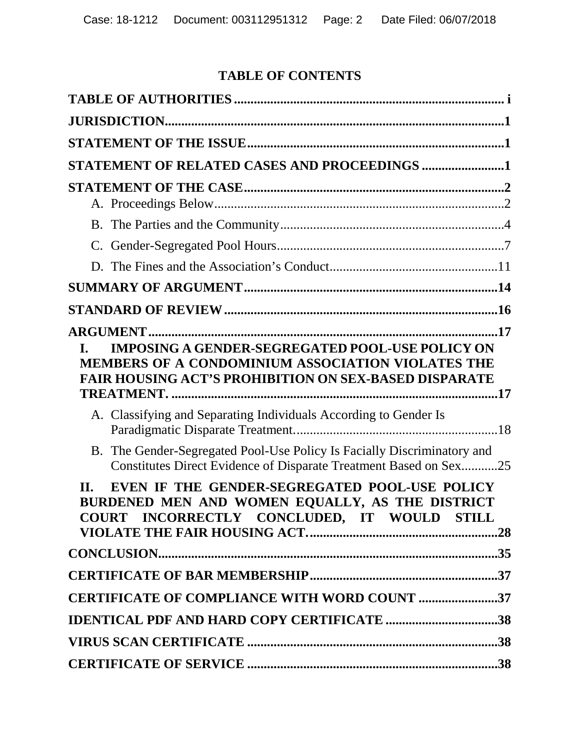# **TABLE OF CONTENTS**

| STATEMENT OF RELATED CASES AND PROCEEDINGS 1                                                                                                           |  |
|--------------------------------------------------------------------------------------------------------------------------------------------------------|--|
|                                                                                                                                                        |  |
|                                                                                                                                                        |  |
|                                                                                                                                                        |  |
|                                                                                                                                                        |  |
|                                                                                                                                                        |  |
|                                                                                                                                                        |  |
|                                                                                                                                                        |  |
|                                                                                                                                                        |  |
| <b>FAIR HOUSING ACT'S PROHIBITION ON SEX-BASED DISPARATE</b><br>A. Classifying and Separating Individuals According to Gender Is                       |  |
| B. The Gender-Segregated Pool-Use Policy Is Facially Discriminatory and<br>Constitutes Direct Evidence of Disparate Treatment Based on Sex25           |  |
| EVEN IF THE GENDER-SEGREGATED POOL-USE POLICY<br>II.<br>BURDENED MEN AND WOMEN EQUALLY, AS THE DISTRICT<br>COURT INCORRECTLY CONCLUDED, IT WOULD STILL |  |
|                                                                                                                                                        |  |
|                                                                                                                                                        |  |
| <b>CERTIFICATE OF COMPLIANCE WITH WORD COUNT 37</b>                                                                                                    |  |
| <b>IDENTICAL PDF AND HARD COPY CERTIFICATE 38</b>                                                                                                      |  |
|                                                                                                                                                        |  |
|                                                                                                                                                        |  |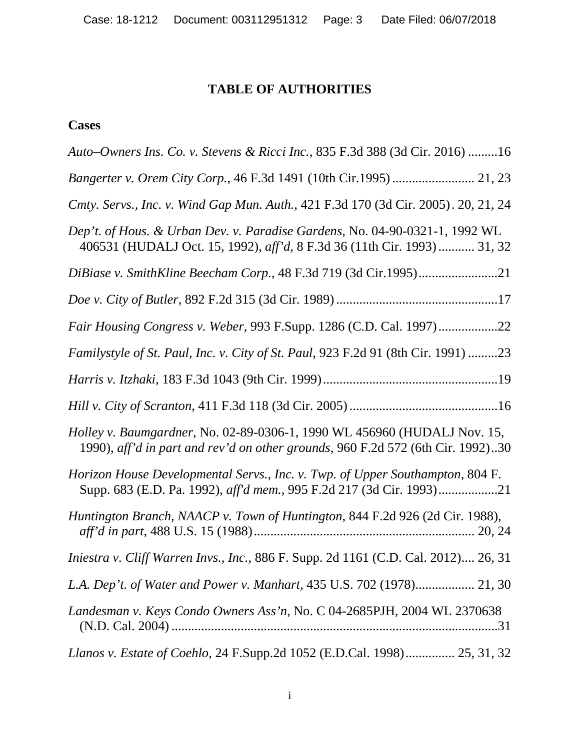# **TABLE OF AUTHORITIES**

# <span id="page-2-0"></span>**Cases**

| Auto-Owners Ins. Co. v. Stevens & Ricci Inc., 835 F.3d 388 (3d Cir. 2016) 16                                                                                |
|-------------------------------------------------------------------------------------------------------------------------------------------------------------|
| Bangerter v. Orem City Corp., 46 F.3d 1491 (10th Cir.1995)  21, 23                                                                                          |
| Cmty. Servs., Inc. v. Wind Gap Mun. Auth., 421 F.3d 170 (3d Cir. 2005). 20, 21, 24                                                                          |
| Dep't. of Hous. & Urban Dev. v. Paradise Gardens, No. 04-90-0321-1, 1992 WL<br>406531 (HUDALJ Oct. 15, 1992), aff'd, 8 F.3d 36 (11th Cir. 1993)  31, 32     |
| DiBiase v. SmithKline Beecham Corp., 48 F.3d 719 (3d Cir.1995)21                                                                                            |
|                                                                                                                                                             |
| Fair Housing Congress v. Weber, 993 F.Supp. 1286 (C.D. Cal. 1997)22                                                                                         |
| Familystyle of St. Paul, Inc. v. City of St. Paul, 923 F.2d 91 (8th Cir. 1991) 23                                                                           |
|                                                                                                                                                             |
|                                                                                                                                                             |
| Holley v. Baumgardner, No. 02-89-0306-1, 1990 WL 456960 (HUDALJ Nov. 15,<br>1990), aff'd in part and rev'd on other grounds, 960 F.2d 572 (6th Cir. 1992)30 |
| Horizon House Developmental Servs., Inc. v. Twp. of Upper Southampton, 804 F.<br>Supp. 683 (E.D. Pa. 1992), aff'd mem., 995 F.2d 217 (3d Cir. 1993)21       |
| Huntington Branch, NAACP v. Town of Huntington, 844 F.2d 926 (2d Cir. 1988),                                                                                |
| Iniestra v. Cliff Warren Invs., Inc., 886 F. Supp. 2d 1161 (C.D. Cal. 2012) 26, 31                                                                          |
|                                                                                                                                                             |
| Landesman v. Keys Condo Owners Ass'n, No. C 04-2685PJH, 2004 WL 2370638                                                                                     |
| Llanos v. Estate of Coehlo, 24 F.Supp.2d 1052 (E.D.Cal. 1998) 25, 31, 32                                                                                    |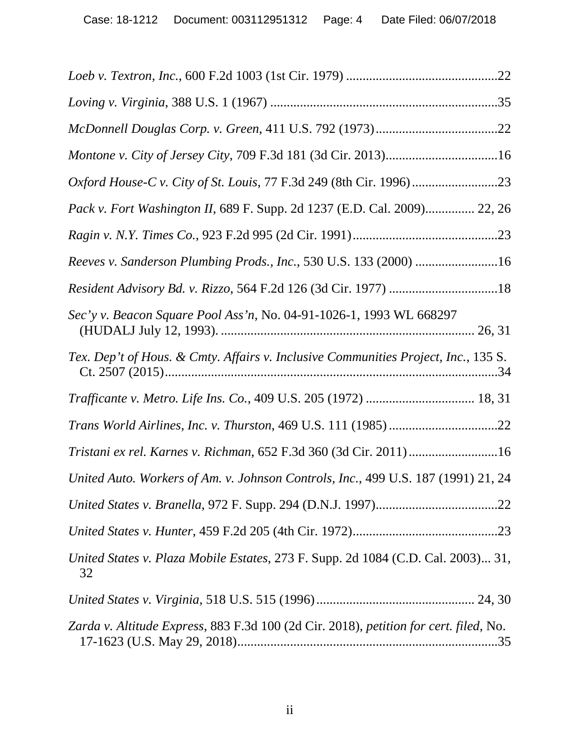| Montone v. City of Jersey City, 709 F.3d 181 (3d Cir. 2013)16                          |
|----------------------------------------------------------------------------------------|
|                                                                                        |
| Pack v. Fort Washington II, 689 F. Supp. 2d 1237 (E.D. Cal. 2009) 22, 26               |
|                                                                                        |
| Reeves v. Sanderson Plumbing Prods., Inc., 530 U.S. 133 (2000) 16                      |
|                                                                                        |
| Sec'y v. Beacon Square Pool Ass'n, No. 04-91-1026-1, 1993 WL 668297                    |
| Tex. Dep't of Hous. & Cmty. Affairs v. Inclusive Communities Project, Inc., 135 S.     |
| Trafficante v. Metro. Life Ins. Co., 409 U.S. 205 (1972)  18, 31                       |
|                                                                                        |
| Tristani ex rel. Karnes v. Richman, 652 F.3d 360 (3d Cir. 2011)16                      |
| United Auto. Workers of Am. v. Johnson Controls, Inc., 499 U.S. 187 (1991) 21, 24      |
|                                                                                        |
|                                                                                        |
| United States v. Plaza Mobile Estates, 273 F. Supp. 2d 1084 (C.D. Cal. 2003) 31,<br>32 |
|                                                                                        |
| Zarda v. Altitude Express, 883 F.3d 100 (2d Cir. 2018), petition for cert. filed, No.  |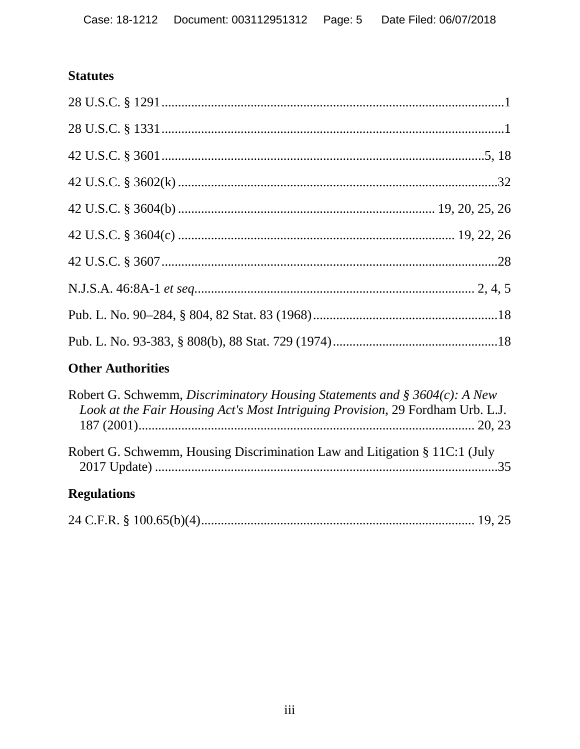# **Statutes**

# **Other Authorities**

| Robert G. Schwemm, Discriminatory Housing Statements and § 3604(c): A New<br>Look at the Fair Housing Act's Most Intriguing Provision, 29 Fordham Urb. L.J. |  |
|-------------------------------------------------------------------------------------------------------------------------------------------------------------|--|
| Robert G. Schwemm, Housing Discrimination Law and Litigation § 11C:1 (July                                                                                  |  |
| <b>Regulations</b>                                                                                                                                          |  |

|--|--|--|--|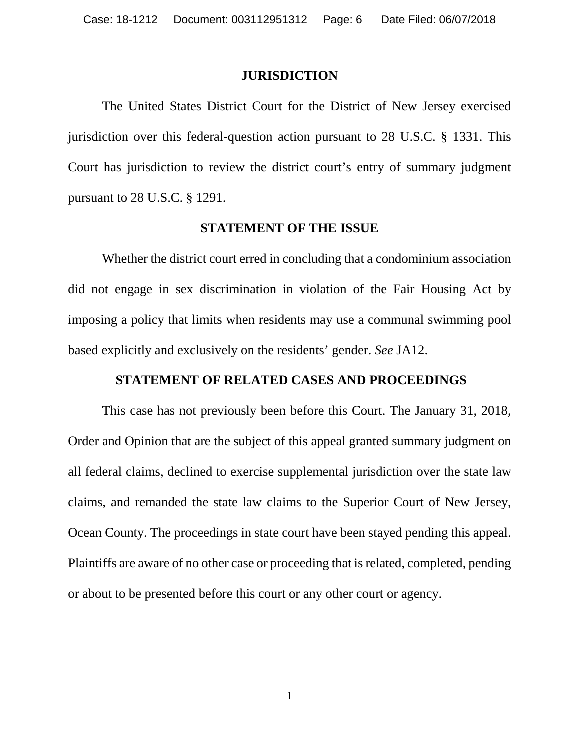### **JURISDICTION**

<span id="page-5-0"></span>The United States District Court for the District of New Jersey exercised jurisdiction over this federal-question action pursuant to 28 U.S.C. § 1331. This Court has jurisdiction to review the district court's entry of summary judgment pursuant to 28 U.S.C. § 1291.

#### **STATEMENT OF THE ISSUE**

<span id="page-5-1"></span>Whether the district court erred in concluding that a condominium association did not engage in sex discrimination in violation of the Fair Housing Act by imposing a policy that limits when residents may use a communal swimming pool based explicitly and exclusively on the residents' gender. *See* JA12.

## <span id="page-5-2"></span>**STATEMENT OF RELATED CASES AND PROCEEDINGS**

This case has not previously been before this Court. The January 31, 2018, Order and Opinion that are the subject of this appeal granted summary judgment on all federal claims, declined to exercise supplemental jurisdiction over the state law claims, and remanded the state law claims to the Superior Court of New Jersey, Ocean County. The proceedings in state court have been stayed pending this appeal. Plaintiffs are aware of no other case or proceeding that is related, completed, pending or about to be presented before this court or any other court or agency.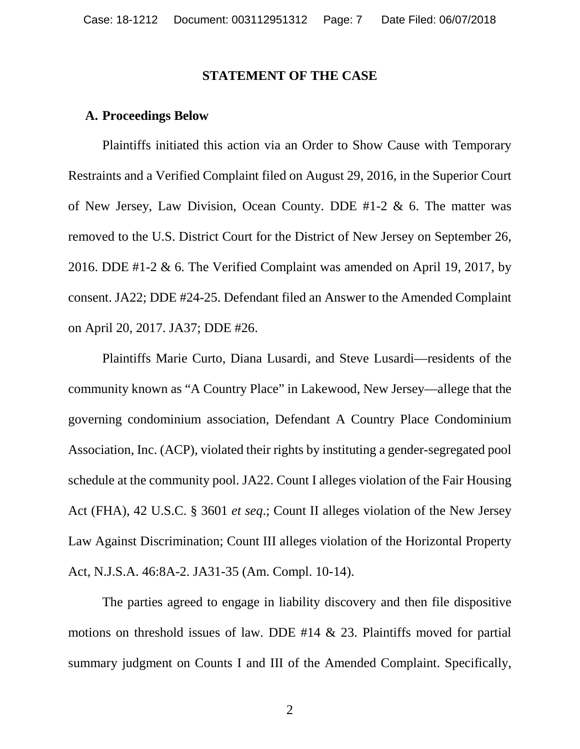## **STATEMENT OF THE CASE**

### <span id="page-6-1"></span><span id="page-6-0"></span>**A. Proceedings Below**

Plaintiffs initiated this action via an Order to Show Cause with Temporary Restraints and a Verified Complaint filed on August 29, 2016, in the Superior Court of New Jersey, Law Division, Ocean County. DDE #1-2 & 6. The matter was removed to the U.S. District Court for the District of New Jersey on September 26, 2016. DDE #1-2 & 6. The Verified Complaint was amended on April 19, 2017, by consent. JA22; DDE #24-25. Defendant filed an Answer to the Amended Complaint on April 20, 2017. JA37; DDE #26.

Plaintiffs Marie Curto, Diana Lusardi, and Steve Lusardi—residents of the community known as "A Country Place" in Lakewood, New Jersey—allege that the governing condominium association, Defendant A Country Place Condominium Association, Inc. (ACP), violated their rights by instituting a gender-segregated pool schedule at the community pool. JA22. Count I alleges violation of the Fair Housing Act (FHA), 42 U.S.C. § 3601 *et seq*.; Count II alleges violation of the New Jersey Law Against Discrimination; Count III alleges violation of the Horizontal Property Act, N.J.S.A. 46:8A-2. JA31-35 (Am. Compl. 10-14).

The parties agreed to engage in liability discovery and then file dispositive motions on threshold issues of law. DDE #14 & 23. Plaintiffs moved for partial summary judgment on Counts I and III of the Amended Complaint. Specifically,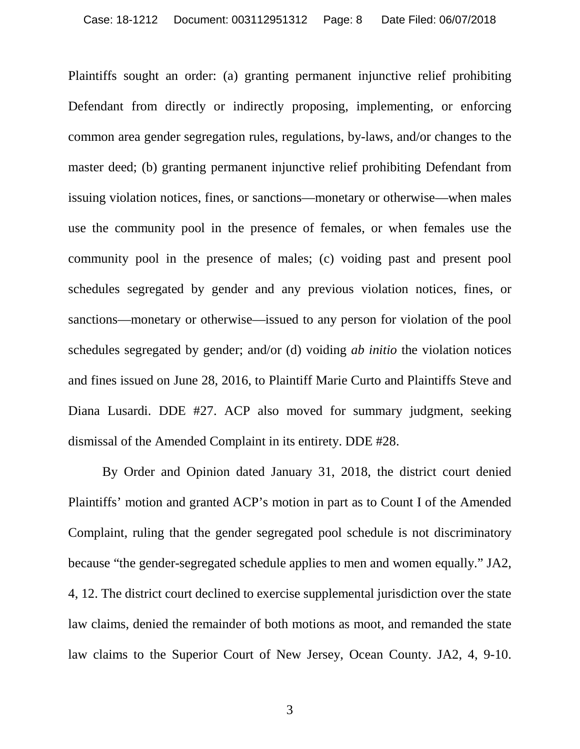Plaintiffs sought an order: (a) granting permanent injunctive relief prohibiting Defendant from directly or indirectly proposing, implementing, or enforcing common area gender segregation rules, regulations, by-laws, and/or changes to the master deed; (b) granting permanent injunctive relief prohibiting Defendant from issuing violation notices, fines, or sanctions—monetary or otherwise—when males use the community pool in the presence of females, or when females use the community pool in the presence of males; (c) voiding past and present pool schedules segregated by gender and any previous violation notices, fines, or sanctions—monetary or otherwise—issued to any person for violation of the pool schedules segregated by gender; and/or (d) voiding *ab initio* the violation notices and fines issued on June 28, 2016, to Plaintiff Marie Curto and Plaintiffs Steve and Diana Lusardi. DDE #27. ACP also moved for summary judgment, seeking dismissal of the Amended Complaint in its entirety. DDE #28.

By Order and Opinion dated January 31, 2018, the district court denied Plaintiffs' motion and granted ACP's motion in part as to Count I of the Amended Complaint, ruling that the gender segregated pool schedule is not discriminatory because "the gender-segregated schedule applies to men and women equally." JA2, 4, 12. The district court declined to exercise supplemental jurisdiction over the state law claims, denied the remainder of both motions as moot, and remanded the state law claims to the Superior Court of New Jersey, Ocean County. JA2, 4, 9-10.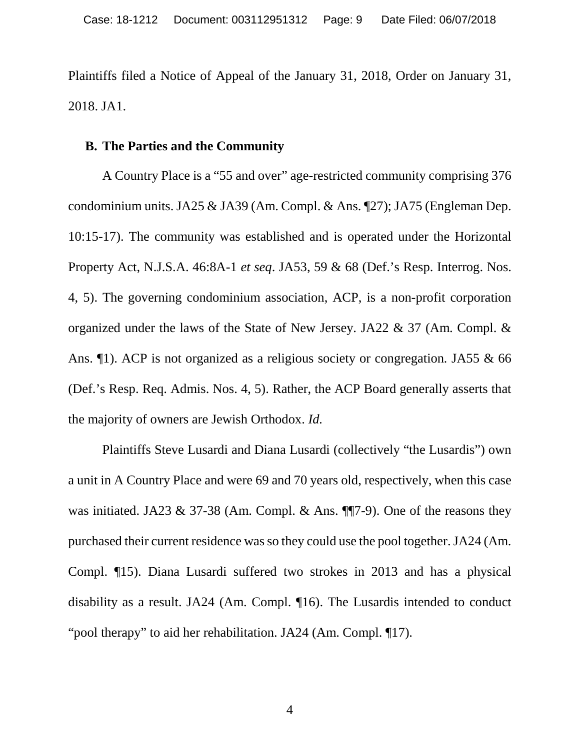Plaintiffs filed a Notice of Appeal of the January 31, 2018, Order on January 31, 2018. JA1.

### <span id="page-8-0"></span>**B. The Parties and the Community**

A Country Place is a "55 and over" age-restricted community comprising 376 condominium units. JA25 & JA39 (Am. Compl. & Ans. ¶27); JA75 (Engleman Dep. 10:15-17). The community was established and is operated under the Horizontal Property Act, N.J.S.A. 46:8A-1 *et seq*. JA53, 59 & 68 (Def.'s Resp. Interrog. Nos. 4, 5). The governing condominium association, ACP, is a non-profit corporation organized under the laws of the State of New Jersey. JA22 & 37 (Am. Compl. & Ans. ¶1). ACP is not organized as a religious society or congregation*.* JA55 & 66 (Def.'s Resp. Req. Admis. Nos. 4, 5). Rather, the ACP Board generally asserts that the majority of owners are Jewish Orthodox. *Id.*

Plaintiffs Steve Lusardi and Diana Lusardi (collectively "the Lusardis") own a unit in A Country Place and were 69 and 70 years old, respectively, when this case was initiated. JA23 & 37-38 (Am. Compl. & Ans. ¶¶7-9). One of the reasons they purchased their current residence was so they could use the pool together. JA24 (Am. Compl. ¶15). Diana Lusardi suffered two strokes in 2013 and has a physical disability as a result. JA24 (Am. Compl. ¶16). The Lusardis intended to conduct "pool therapy" to aid her rehabilitation. JA24 (Am. Compl. ¶17).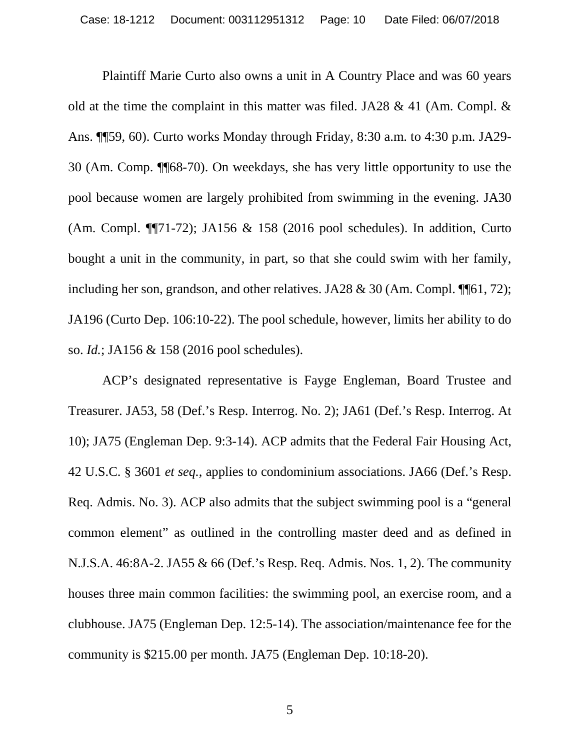Plaintiff Marie Curto also owns a unit in A Country Place and was 60 years old at the time the complaint in this matter was filed. JA28 & 41 (Am. Compl. & Ans. ¶¶59, 60). Curto works Monday through Friday, 8:30 a.m. to 4:30 p.m. JA29- 30 (Am. Comp. ¶¶68-70). On weekdays, she has very little opportunity to use the pool because women are largely prohibited from swimming in the evening. JA30 (Am. Compl. ¶¶71-72); JA156 & 158 (2016 pool schedules). In addition, Curto bought a unit in the community, in part, so that she could swim with her family, including her son, grandson, and other relatives. JA28 & 30 (Am. Compl.  $\P$ [61, 72); JA196 (Curto Dep. 106:10-22). The pool schedule, however, limits her ability to do so. *Id.*; JA156 & 158 (2016 pool schedules).

ACP's designated representative is Fayge Engleman, Board Trustee and Treasurer. JA53, 58 (Def.'s Resp. Interrog. No. 2); JA61 (Def.'s Resp. Interrog. At 10); JA75 (Engleman Dep. 9:3-14). ACP admits that the Federal Fair Housing Act, 42 U.S.C. § 3601 *et seq.*, applies to condominium associations. JA66 (Def.'s Resp. Req. Admis. No. 3). ACP also admits that the subject swimming pool is a "general common element" as outlined in the controlling master deed and as defined in N.J.S.A. 46:8A-2. JA55 & 66 (Def.'s Resp. Req. Admis. Nos. 1, 2). The community houses three main common facilities: the swimming pool, an exercise room, and a clubhouse. JA75 (Engleman Dep. 12:5-14). The association/maintenance fee for the community is \$215.00 per month. JA75 (Engleman Dep. 10:18-20).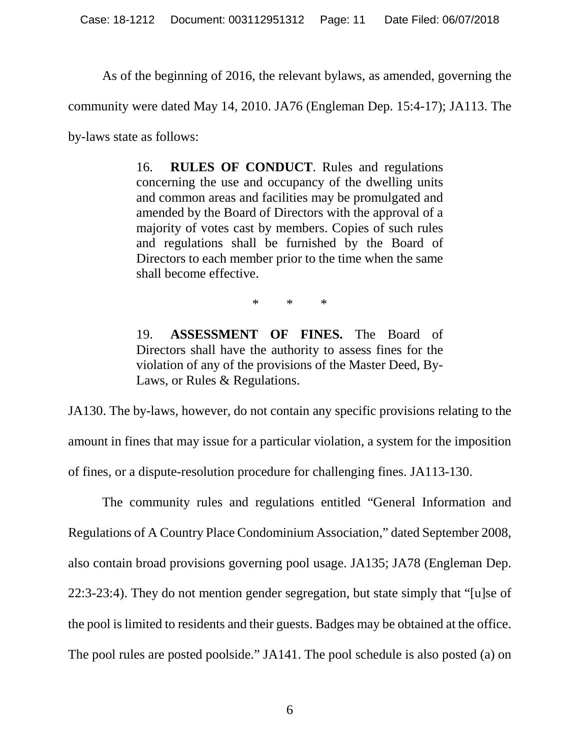As of the beginning of 2016, the relevant bylaws, as amended, governing the

community were dated May 14, 2010. JA76 (Engleman Dep. 15:4-17); JA113. The

by-laws state as follows:

16. **RULES OF CONDUCT**. Rules and regulations concerning the use and occupancy of the dwelling units and common areas and facilities may be promulgated and amended by the Board of Directors with the approval of a majority of votes cast by members. Copies of such rules and regulations shall be furnished by the Board of Directors to each member prior to the time when the same shall become effective.

\* \* \*

19. **ASSESSMENT OF FINES.** The Board of Directors shall have the authority to assess fines for the violation of any of the provisions of the Master Deed, By-Laws, or Rules & Regulations.

JA130. The by-laws, however, do not contain any specific provisions relating to the amount in fines that may issue for a particular violation, a system for the imposition of fines, or a dispute-resolution procedure for challenging fines. JA113-130.

The community rules and regulations entitled "General Information and Regulations of A Country Place Condominium Association," dated September 2008, also contain broad provisions governing pool usage. JA135; JA78 (Engleman Dep. 22:3-23:4). They do not mention gender segregation, but state simply that "[u]se of the pool is limited to residents and their guests. Badges may be obtained at the office. The pool rules are posted poolside." JA141. The pool schedule is also posted (a) on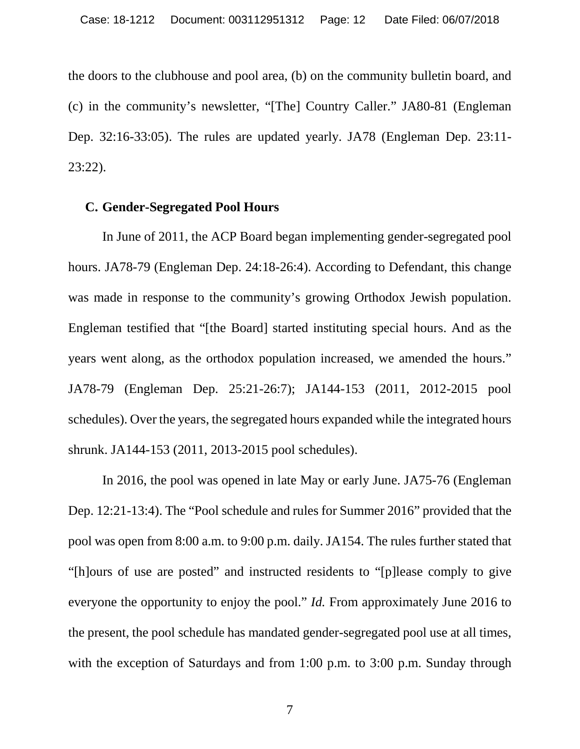the doors to the clubhouse and pool area, (b) on the community bulletin board, and (c) in the community's newsletter, "[The] Country Caller." JA80-81 (Engleman Dep. 32:16-33:05). The rules are updated yearly. JA78 (Engleman Dep. 23:11- 23:22).

## <span id="page-11-0"></span>**C. Gender-Segregated Pool Hours**

In June of 2011, the ACP Board began implementing gender-segregated pool hours. JA78-79 (Engleman Dep. 24:18-26:4). According to Defendant, this change was made in response to the community's growing Orthodox Jewish population. Engleman testified that "[the Board] started instituting special hours. And as the years went along, as the orthodox population increased, we amended the hours." JA78-79 (Engleman Dep. 25:21-26:7); JA144-153 (2011, 2012-2015 pool schedules). Over the years, the segregated hours expanded while the integrated hours shrunk. JA144-153 (2011, 2013-2015 pool schedules).

In 2016, the pool was opened in late May or early June. JA75-76 (Engleman Dep. 12:21-13:4). The "Pool schedule and rules for Summer 2016" provided that the pool was open from 8:00 a.m. to 9:00 p.m. daily. JA154. The rules further stated that "[h]ours of use are posted" and instructed residents to "[p]lease comply to give everyone the opportunity to enjoy the pool." *Id.* From approximately June 2016 to the present, the pool schedule has mandated gender-segregated pool use at all times, with the exception of Saturdays and from 1:00 p.m. to 3:00 p.m. Sunday through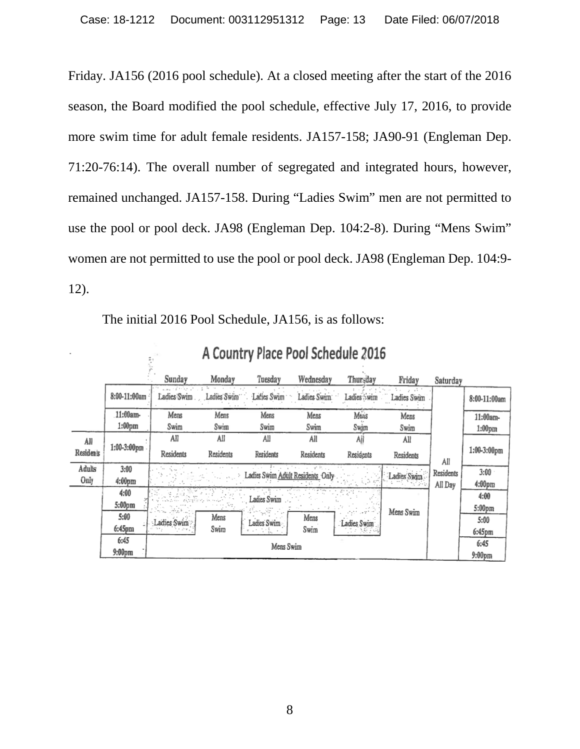Friday. JA156 (2016 pool schedule). At a closed meeting after the start of the 2016 season, the Board modified the pool schedule, effective July 17, 2016, to provide more swim time for adult female residents. JA157-158; JA90-91 (Engleman Dep. 71:20-76:14). The overall number of segregated and integrated hours, however, remained unchanged. JA157-158. During "Ladies Swim" men are not permitted to use the pool or pool deck. JA98 (Engleman Dep. 104:2-8). During "Mens Swim" women are not permitted to use the pool or pool deck. JA98 (Engleman Dep. 104:9- 12).

|                  | A Country Place Pool Schedule 2016 |                                            |             |                                  |             |              |                        |                    |                    |
|------------------|------------------------------------|--------------------------------------------|-------------|----------------------------------|-------------|--------------|------------------------|--------------------|--------------------|
|                  |                                    | Sundav                                     | Monday      | Tuesday                          | Wednesday   | Thursday     | Friday                 | Saturday           |                    |
|                  | 8:00-11:00am                       | special control of the firm<br>Ladies Swim | Ladies Swim | Lacies Swim                      | Ladies Swim | Ladies : wim | 11 12 T<br>Ladies Swim |                    | 8:00-11:00am       |
|                  | 11:00am-                           | Mens                                       | Mens        | Mens                             | Mens        | Мыз          | Mens                   |                    | 11:00am-           |
|                  | 1:00 <sub>pm</sub>                 | Swim                                       | Swim        | Swim                             | Swim        | Swim         | Swim                   |                    | 1:00 <sub>pm</sub> |
| All              |                                    | All                                        | All         | All                              | All         | Ajj          | All                    |                    |                    |
| <b>Residents</b> | 1:00-3:00pm                        | Residents                                  | Residents   | Residents                        | Residents   | Residents    | Residents              | All                | 1:00-3:00pm        |
| Adults           | 3:00                               |                                            |             |                                  |             |              |                        | Residents          | 3:00               |
| Only             | $4:00 \text{pm}$                   |                                            |             | Ladies Swim Adult Residents Only |             |              | Ladies Swim            | All Day            | $4:00 \text{pm}$   |
|                  | 4:00                               |                                            |             |                                  |             |              |                        |                    | 4:00               |
|                  | 5:00pm                             |                                            |             | Ladies Swim                      |             |              |                        |                    | 5:00pm             |
|                  | 5:00                               |                                            | Mens        | $\sim 10^{10}$                   | Mens        |              | Mens Swim              |                    | 5:00               |
|                  | $6:45$ pm                          | Ladies Swim                                | Swim        | Ladies Swim                      | Swim        | Ladies Swim  |                        |                    | $6:45$ pm          |
|                  | 6:45<br>Mens Swim                  |                                            |             |                                  |             |              | 6:45                   |                    |                    |
|                  | 9:00pm                             |                                            |             |                                  |             |              |                        | 9:00 <sub>pm</sub> |                    |

The initial 2016 Pool Schedule, JA156, is as follows: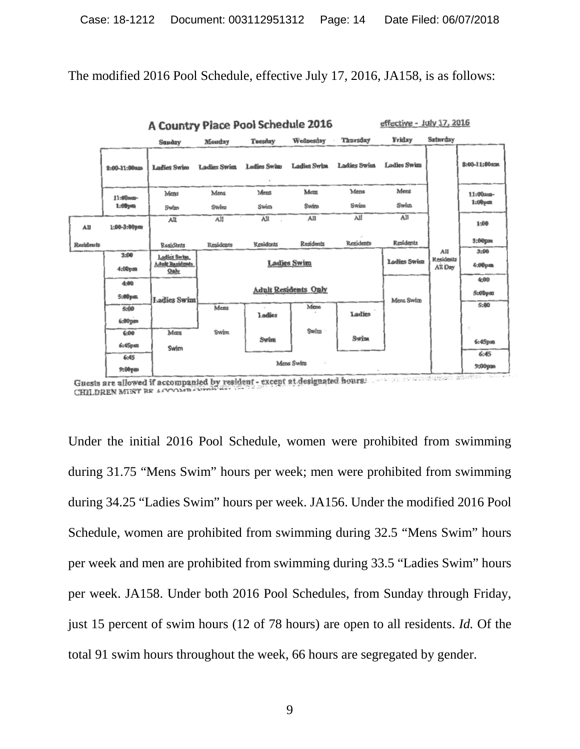The modified 2016 Pool Schedule, effective July 17, 2016, JA158, is as follows:



Guests are allowed if accompanied by resident - except at designated hours.  $-0.0007$  $-11$ CHILDREN MIRT RE ACCORD

Under the initial 2016 Pool Schedule, women were prohibited from swimming during 31.75 "Mens Swim" hours per week; men were prohibited from swimming during 34.25 "Ladies Swim" hours per week. JA156. Under the modified 2016 Pool Schedule, women are prohibited from swimming during 32.5 "Mens Swim" hours per week and men are prohibited from swimming during 33.5 "Ladies Swim" hours per week. JA158. Under both 2016 Pool Schedules, from Sunday through Friday, just 15 percent of swim hours (12 of 78 hours) are open to all residents. *Id.* Of the total 91 swim hours throughout the week, 66 hours are segregated by gender.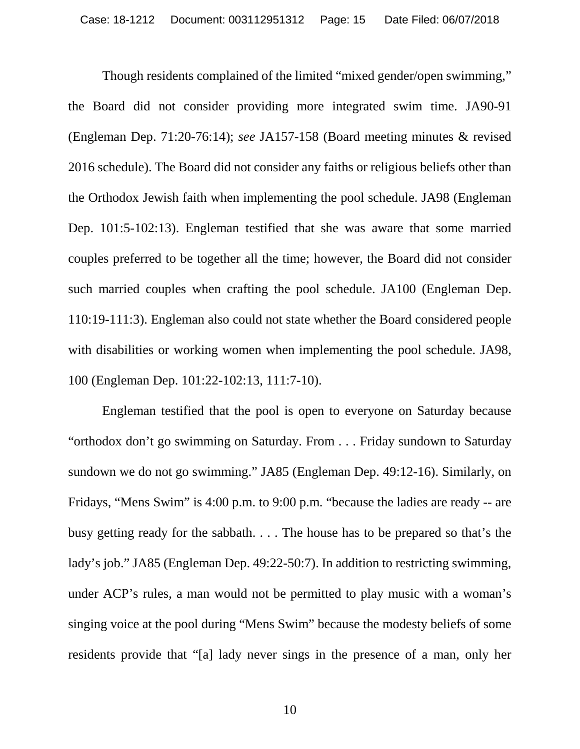Though residents complained of the limited "mixed gender/open swimming," the Board did not consider providing more integrated swim time. JA90-91 (Engleman Dep. 71:20-76:14); *see* JA157-158 (Board meeting minutes & revised 2016 schedule). The Board did not consider any faiths or religious beliefs other than the Orthodox Jewish faith when implementing the pool schedule. JA98 (Engleman Dep. 101:5-102:13). Engleman testified that she was aware that some married couples preferred to be together all the time; however, the Board did not consider such married couples when crafting the pool schedule. JA100 (Engleman Dep. 110:19-111:3). Engleman also could not state whether the Board considered people with disabilities or working women when implementing the pool schedule. JA98, 100 (Engleman Dep. 101:22-102:13, 111:7-10).

Engleman testified that the pool is open to everyone on Saturday because "orthodox don't go swimming on Saturday. From . . . Friday sundown to Saturday sundown we do not go swimming." JA85 (Engleman Dep. 49:12-16). Similarly, on Fridays, "Mens Swim" is 4:00 p.m. to 9:00 p.m. "because the ladies are ready -- are busy getting ready for the sabbath. . . . The house has to be prepared so that's the lady's job." JA85 (Engleman Dep. 49:22-50:7). In addition to restricting swimming, under ACP's rules, a man would not be permitted to play music with a woman's singing voice at the pool during "Mens Swim" because the modesty beliefs of some residents provide that "[a] lady never sings in the presence of a man, only her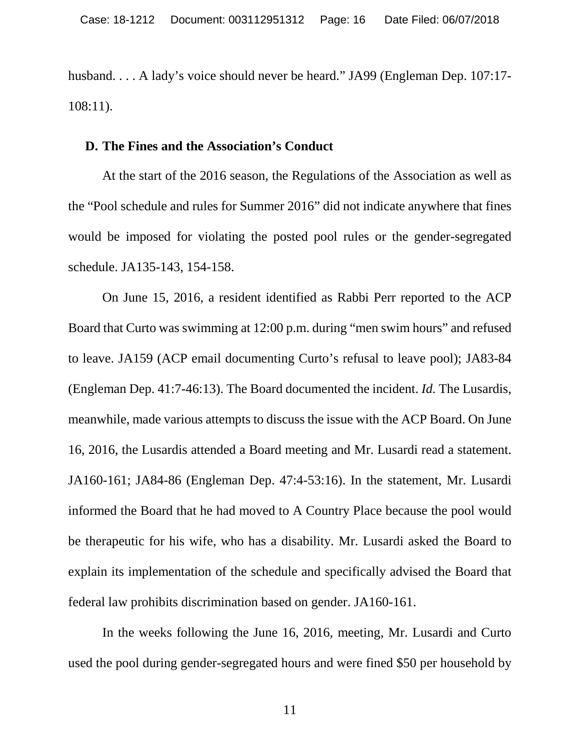husband. . . . A lady's voice should never be heard." JA99 (Engleman Dep. 107:17- 108:11).

## <span id="page-15-0"></span>**D. The Fines and the Association's Conduct**

At the start of the 2016 season, the Regulations of the Association as well as the "Pool schedule and rules for Summer 2016" did not indicate anywhere that fines would be imposed for violating the posted pool rules or the gender-segregated schedule. JA135-143, 154-158.

On June 15, 2016, a resident identified as Rabbi Perr reported to the ACP Board that Curto was swimming at 12:00 p.m. during "men swim hours" and refused to leave. JA159 (ACP email documenting Curto's refusal to leave pool); JA83-84 (Engleman Dep. 41:7-46:13). The Board documented the incident. *Id.* The Lusardis, meanwhile, made various attempts to discuss the issue with the ACP Board. On June 16, 2016, the Lusardis attended a Board meeting and Mr. Lusardi read a statement. JA160-161; JA84-86 (Engleman Dep. 47:4-53:16). In the statement, Mr. Lusardi informed the Board that he had moved to A Country Place because the pool would be therapeutic for his wife, who has a disability. Mr. Lusardi asked the Board to explain its implementation of the schedule and specifically advised the Board that federal law prohibits discrimination based on gender. JA160-161.

In the weeks following the June 16, 2016, meeting, Mr. Lusardi and Curto used the pool during gender-segregated hours and were fined \$50 per household by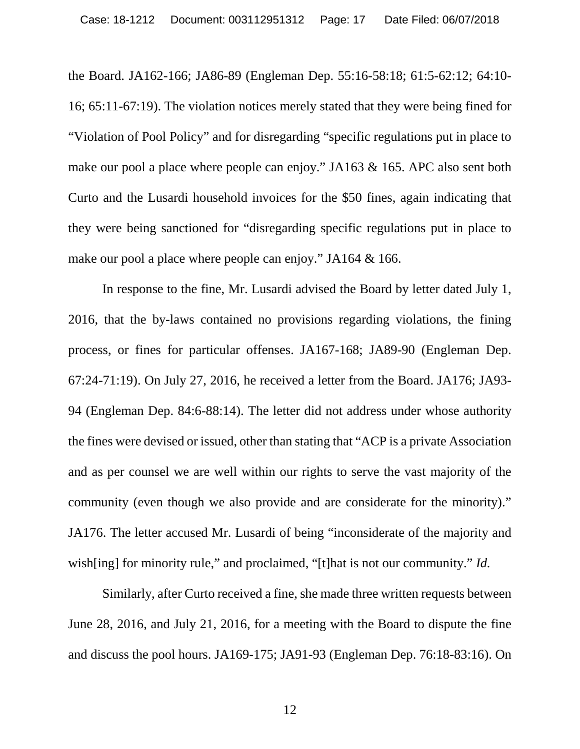the Board. JA162-166; JA86-89 (Engleman Dep. 55:16-58:18; 61:5-62:12; 64:10- 16; 65:11-67:19). The violation notices merely stated that they were being fined for "Violation of Pool Policy" and for disregarding "specific regulations put in place to make our pool a place where people can enjoy." JA163 & 165. APC also sent both Curto and the Lusardi household invoices for the \$50 fines, again indicating that they were being sanctioned for "disregarding specific regulations put in place to make our pool a place where people can enjoy." JA164 & 166.

In response to the fine, Mr. Lusardi advised the Board by letter dated July 1, 2016, that the by-laws contained no provisions regarding violations, the fining process, or fines for particular offenses. JA167-168; JA89-90 (Engleman Dep. 67:24-71:19). On July 27, 2016, he received a letter from the Board. JA176; JA93- 94 (Engleman Dep. 84:6-88:14). The letter did not address under whose authority the fines were devised or issued, other than stating that "ACP is a private Association and as per counsel we are well within our rights to serve the vast majority of the community (even though we also provide and are considerate for the minority)." JA176. The letter accused Mr. Lusardi of being "inconsiderate of the majority and wish[ing] for minority rule," and proclaimed, "[t]hat is not our community." *Id.* 

Similarly, after Curto received a fine, she made three written requests between June 28, 2016, and July 21, 2016, for a meeting with the Board to dispute the fine and discuss the pool hours. JA169-175; JA91-93 (Engleman Dep. 76:18-83:16). On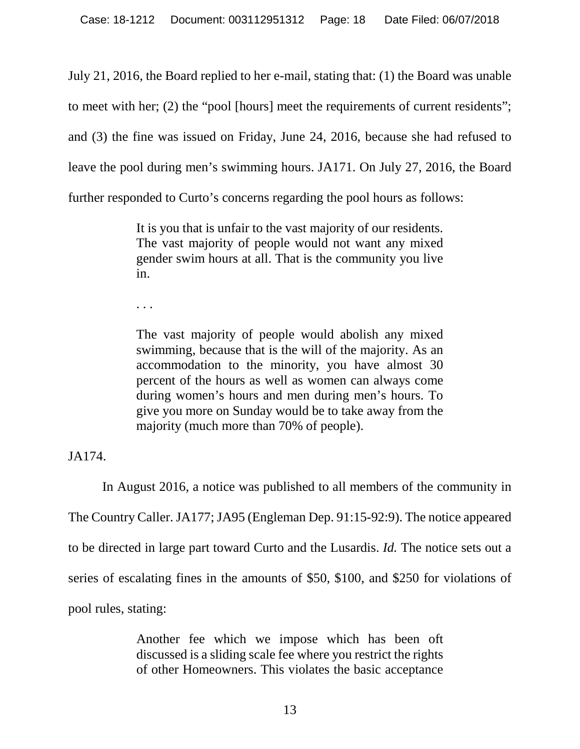July 21, 2016, the Board replied to her e-mail, stating that: (1) the Board was unable to meet with her; (2) the "pool [hours] meet the requirements of current residents"; and (3) the fine was issued on Friday, June 24, 2016, because she had refused to leave the pool during men's swimming hours. JA171. On July 27, 2016, the Board further responded to Curto's concerns regarding the pool hours as follows:

> It is you that is unfair to the vast majority of our residents. The vast majority of people would not want any mixed gender swim hours at all. That is the community you live in.

. . .

The vast majority of people would abolish any mixed swimming, because that is the will of the majority. As an accommodation to the minority, you have almost 30 percent of the hours as well as women can always come during women's hours and men during men's hours. To give you more on Sunday would be to take away from the majority (much more than 70% of people).

JA174.

In August 2016, a notice was published to all members of the community in The Country Caller. JA177; JA95 (Engleman Dep. 91:15-92:9). The notice appeared to be directed in large part toward Curto and the Lusardis. *Id.* The notice sets out a series of escalating fines in the amounts of \$50, \$100, and \$250 for violations of pool rules, stating:

> Another fee which we impose which has been oft discussed is a sliding scale fee where you restrict the rights of other Homeowners. This violates the basic acceptance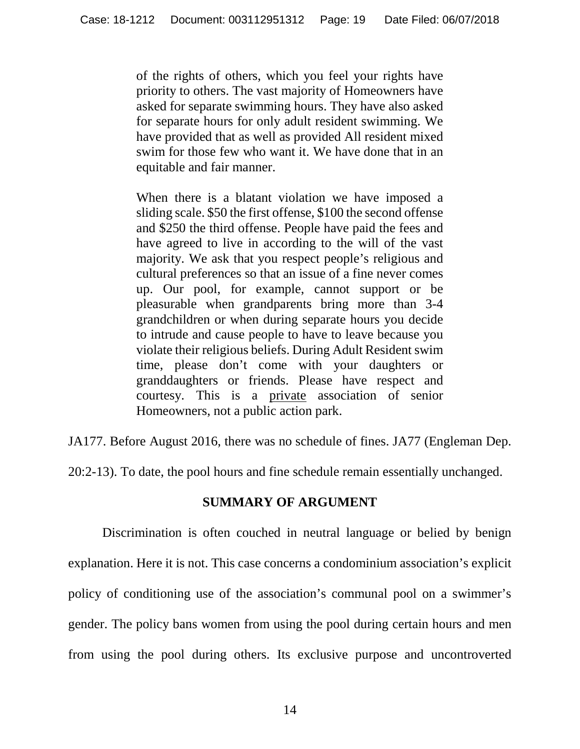of the rights of others, which you feel your rights have priority to others. The vast majority of Homeowners have asked for separate swimming hours. They have also asked for separate hours for only adult resident swimming. We have provided that as well as provided All resident mixed swim for those few who want it. We have done that in an equitable and fair manner.

When there is a blatant violation we have imposed a sliding scale. \$50 the first offense, \$100 the second offense and \$250 the third offense. People have paid the fees and have agreed to live in according to the will of the vast majority. We ask that you respect people's religious and cultural preferences so that an issue of a fine never comes up. Our pool, for example, cannot support or be pleasurable when grandparents bring more than 3-4 grandchildren or when during separate hours you decide to intrude and cause people to have to leave because you violate their religious beliefs. During Adult Resident swim time, please don't come with your daughters or granddaughters or friends. Please have respect and courtesy. This is a private association of senior Homeowners, not a public action park.

JA177. Before August 2016, there was no schedule of fines. JA77 (Engleman Dep.

<span id="page-18-0"></span>20:2-13). To date, the pool hours and fine schedule remain essentially unchanged.

# **SUMMARY OF ARGUMENT**

Discrimination is often couched in neutral language or belied by benign explanation. Here it is not. This case concerns a condominium association's explicit policy of conditioning use of the association's communal pool on a swimmer's gender. The policy bans women from using the pool during certain hours and men from using the pool during others. Its exclusive purpose and uncontroverted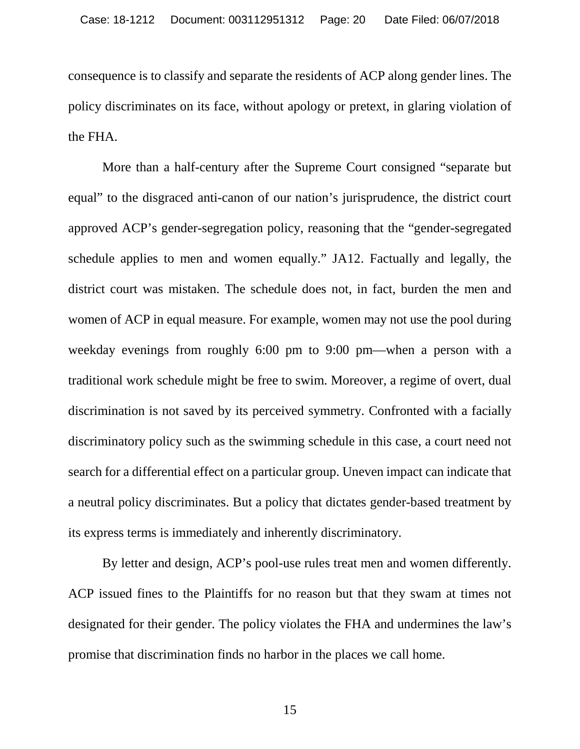consequence is to classify and separate the residents of ACP along gender lines. The policy discriminates on its face, without apology or pretext, in glaring violation of the FHA.

More than a half-century after the Supreme Court consigned "separate but equal" to the disgraced anti-canon of our nation's jurisprudence, the district court approved ACP's gender-segregation policy, reasoning that the "gender-segregated schedule applies to men and women equally." JA12. Factually and legally, the district court was mistaken. The schedule does not, in fact, burden the men and women of ACP in equal measure. For example, women may not use the pool during weekday evenings from roughly 6:00 pm to 9:00 pm—when a person with a traditional work schedule might be free to swim. Moreover, a regime of overt, dual discrimination is not saved by its perceived symmetry. Confronted with a facially discriminatory policy such as the swimming schedule in this case, a court need not search for a differential effect on a particular group. Uneven impact can indicate that a neutral policy discriminates. But a policy that dictates gender-based treatment by its express terms is immediately and inherently discriminatory.

By letter and design, ACP's pool-use rules treat men and women differently. ACP issued fines to the Plaintiffs for no reason but that they swam at times not designated for their gender. The policy violates the FHA and undermines the law's promise that discrimination finds no harbor in the places we call home.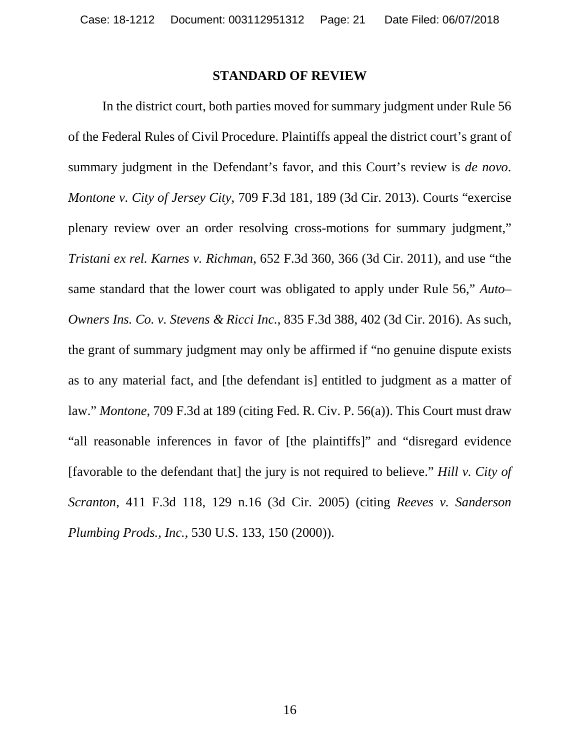### **STANDARD OF REVIEW**

<span id="page-20-0"></span>In the district court, both parties moved for summary judgment under Rule 56 of the Federal Rules of Civil Procedure. Plaintiffs appeal the district court's grant of summary judgment in the Defendant's favor, and this Court's review is *de novo*. *Montone v. City of Jersey City*, 709 F.3d 181, 189 (3d Cir. 2013). Courts "exercise plenary review over an order resolving cross-motions for summary judgment," *Tristani ex rel. Karnes v. Richman*, 652 F.3d 360, 366 (3d Cir. 2011), and use "the same standard that the lower court was obligated to apply under Rule 56," *Auto– Owners Ins. Co. v. Stevens & Ricci Inc.*, 835 F.3d 388, 402 (3d Cir. 2016). As such, the grant of summary judgment may only be affirmed if "no genuine dispute exists as to any material fact, and [the defendant is] entitled to judgment as a matter of law." *Montone*, 709 F.3d at 189 (citing Fed. R. Civ. P. 56(a)). This Court must draw "all reasonable inferences in favor of [the plaintiffs]" and "disregard evidence [favorable to the defendant that] the jury is not required to believe." *Hill v. City of Scranton*, 411 F.3d 118, 129 n.16 (3d Cir. 2005) (citing *Reeves v. Sanderson Plumbing Prods., Inc.*, 530 U.S. 133, 150 (2000)).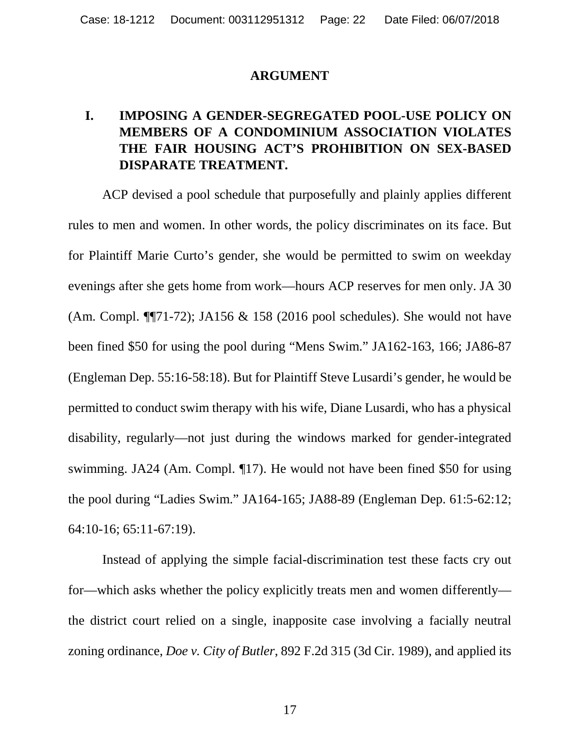## **ARGUMENT**

# <span id="page-21-1"></span><span id="page-21-0"></span>**I. IMPOSING A GENDER-SEGREGATED POOL-USE POLICY ON MEMBERS OF A CONDOMINIUM ASSOCIATION VIOLATES THE FAIR HOUSING ACT'S PROHIBITION ON SEX-BASED DISPARATE TREATMENT.**

ACP devised a pool schedule that purposefully and plainly applies different rules to men and women. In other words, the policy discriminates on its face. But for Plaintiff Marie Curto's gender, she would be permitted to swim on weekday evenings after she gets home from work—hours ACP reserves for men only. JA 30 (Am. Compl. ¶¶71-72); JA156 & 158 (2016 pool schedules). She would not have been fined \$50 for using the pool during "Mens Swim." JA162-163, 166; JA86-87 (Engleman Dep. 55:16-58:18). But for Plaintiff Steve Lusardi's gender, he would be permitted to conduct swim therapy with his wife, Diane Lusardi, who has a physical disability, regularly—not just during the windows marked for gender-integrated swimming. JA24 (Am. Compl. ¶17). He would not have been fined \$50 for using the pool during "Ladies Swim." JA164-165; JA88-89 (Engleman Dep. 61:5-62:12; 64:10-16; 65:11-67:19).

Instead of applying the simple facial-discrimination test these facts cry out for—which asks whether the policy explicitly treats men and women differently the district court relied on a single, inapposite case involving a facially neutral zoning ordinance, *Doe v. City of Butler*, 892 F.2d 315 (3d Cir. 1989), and applied its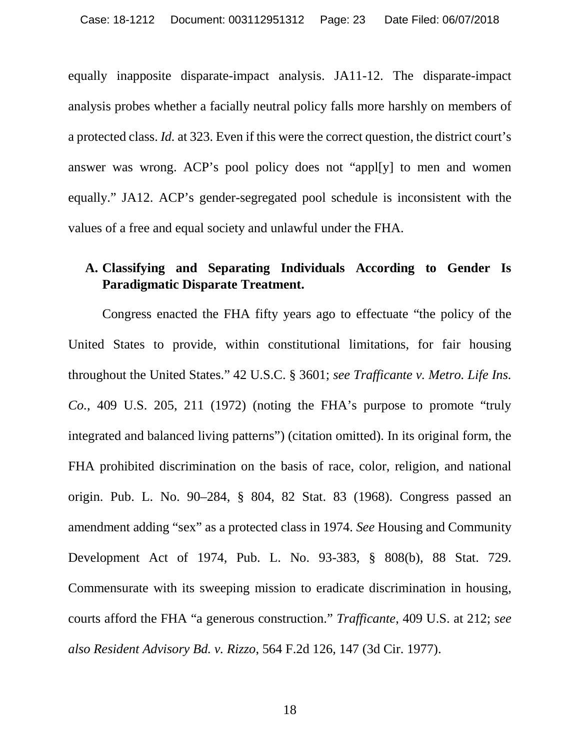equally inapposite disparate-impact analysis. JA11-12. The disparate-impact analysis probes whether a facially neutral policy falls more harshly on members of a protected class. *Id.* at 323. Even if this were the correct question, the district court's answer was wrong. ACP's pool policy does not "appl[y] to men and women equally." JA12. ACP's gender-segregated pool schedule is inconsistent with the values of a free and equal society and unlawful under the FHA.

# <span id="page-22-0"></span>**A. Classifying and Separating Individuals According to Gender Is Paradigmatic Disparate Treatment.**

Congress enacted the FHA fifty years ago to effectuate "the policy of the United States to provide, within constitutional limitations, for fair housing throughout the United States." 42 U.S.C. § 3601; *see Trafficante v. Metro. Life Ins. Co.*, 409 U.S. 205, 211 (1972) (noting the FHA's purpose to promote "truly integrated and balanced living patterns") (citation omitted). In its original form, the FHA prohibited discrimination on the basis of race, color, religion, and national origin. Pub. L. No. 90–284, § 804, 82 Stat. 83 (1968). Congress passed an amendment adding "sex" as a protected class in 1974. *See* Housing and Community Development Act of 1974, Pub. L. No. 93-383, § 808(b), 88 Stat. 729. Commensurate with its sweeping mission to eradicate discrimination in housing, courts afford the FHA "a generous construction." *Trafficante*, 409 U.S. at 212; *see also Resident Advisory Bd. v. Rizzo*, 564 F.2d 126, 147 (3d Cir. 1977).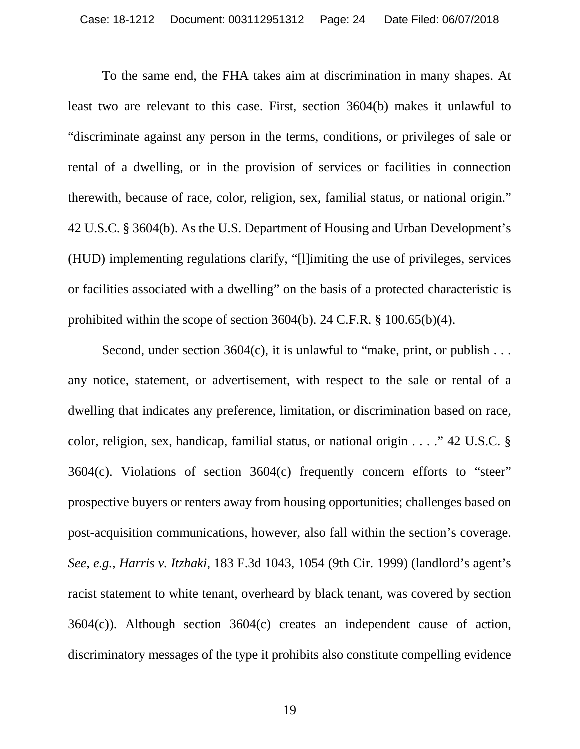To the same end, the FHA takes aim at discrimination in many shapes. At least two are relevant to this case. First, section 3604(b) makes it unlawful to "discriminate against any person in the terms, conditions, or privileges of sale or rental of a dwelling, or in the provision of services or facilities in connection therewith, because of race, color, religion, sex, familial status, or national origin." 42 U.S.C. § 3604(b). As the U.S. Department of Housing and Urban Development's (HUD) implementing regulations clarify, "[l]imiting the use of privileges, services or facilities associated with a dwelling" on the basis of a protected characteristic is prohibited within the scope of section 3604(b). 24 C.F.R. § 100.65(b)(4).

Second, under section  $3604(c)$ , it is unlawful to "make, print, or publish ... any notice, statement, or advertisement, with respect to the sale or rental of a dwelling that indicates any preference, limitation, or discrimination based on race, color, religion, sex, handicap, familial status, or national origin . . . ." 42 U.S.C. § 3604(c). Violations of section 3604(c) frequently concern efforts to "steer" prospective buyers or renters away from housing opportunities; challenges based on post-acquisition communications, however, also fall within the section's coverage. *See, e.g.*, *Harris v. Itzhaki*, 183 F.3d 1043, 1054 (9th Cir. 1999) (landlord's agent's racist statement to white tenant, overheard by black tenant, was covered by section 3604(c)). Although section 3604(c) creates an independent cause of action, discriminatory messages of the type it prohibits also constitute compelling evidence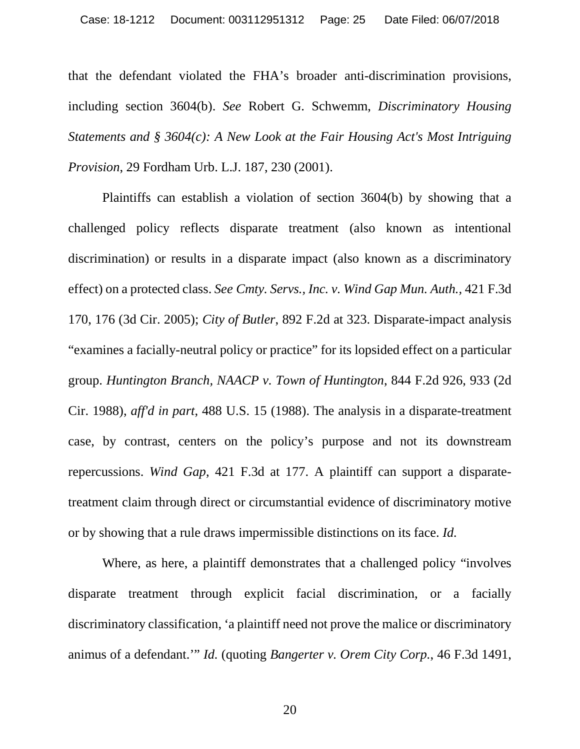that the defendant violated the FHA's broader anti-discrimination provisions, including section 3604(b). *See* Robert G. Schwemm, *Discriminatory Housing Statements and § 3604(c): A New Look at the Fair Housing Act's Most Intriguing Provision*, 29 Fordham Urb. L.J. 187, 230 (2001).

Plaintiffs can establish a violation of section 3604(b) by showing that a challenged policy reflects disparate treatment (also known as intentional discrimination) or results in a disparate impact (also known as a discriminatory effect) on a protected class. *See Cmty. Servs., Inc. v. Wind Gap Mun. Auth.,* 421 F.3d 170, 176 (3d Cir. 2005); *City of Butler*, 892 F.2d at 323. Disparate-impact analysis "examines a facially-neutral policy or practice" for its lopsided effect on a particular group. *Huntington Branch, NAACP v. Town of Huntington*, 844 F.2d 926, 933 (2d Cir. 1988), *aff'd in part*, 488 U.S. 15 (1988). The analysis in a disparate-treatment case, by contrast, centers on the policy's purpose and not its downstream repercussions. *Wind Gap*, 421 F.3d at 177. A plaintiff can support a disparatetreatment claim through direct or circumstantial evidence of discriminatory motive or by showing that a rule draws impermissible distinctions on its face. *Id.*

Where, as here, a plaintiff demonstrates that a challenged policy "involves disparate treatment through explicit facial discrimination, or a facially discriminatory classification, 'a plaintiff need not prove the malice or discriminatory animus of a defendant.'" *Id.* (quoting *Bangerter v. Orem City Corp.*, 46 F.3d 1491,

20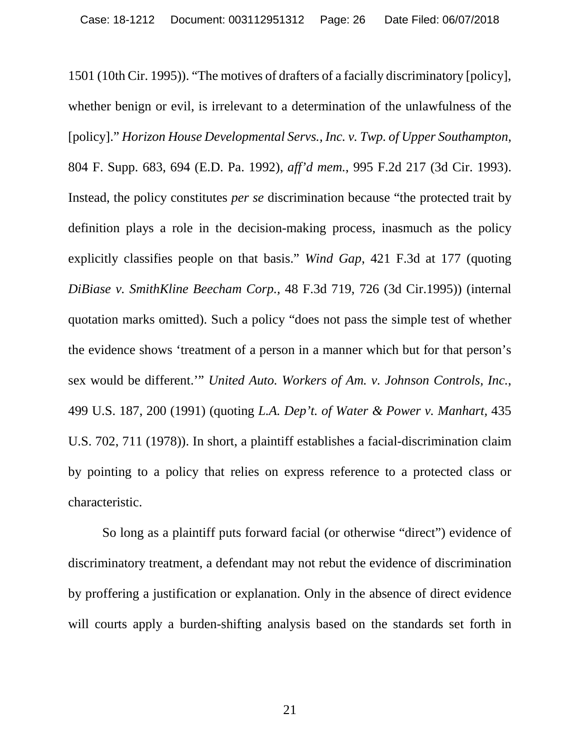1501 (10th Cir. 1995)). "The motives of drafters of a facially discriminatory [policy], whether benign or evil, is irrelevant to a determination of the unlawfulness of the [policy]." *Horizon House Developmental Servs., Inc. v. Twp. of Upper Southampton*, 804 F. Supp. 683, 694 (E.D. Pa. 1992), *aff'd mem.*, 995 F.2d 217 (3d Cir. 1993). Instead, the policy constitutes *per se* discrimination because "the protected trait by definition plays a role in the decision-making process, inasmuch as the policy explicitly classifies people on that basis." *Wind Gap*, 421 F.3d at 177 (quoting *DiBiase v. SmithKline Beecham Corp.,* 48 F.3d 719, 726 (3d Cir.1995)) (internal quotation marks omitted). Such a policy "does not pass the simple test of whether the evidence shows 'treatment of a person in a manner which but for that person's sex would be different.'" *United Auto. Workers of Am. v. Johnson Controls, Inc.*, 499 U.S. 187, 200 (1991) (quoting *L.A. Dep't. of Water & Power v. Manhart,* 435 U.S. 702, 711 (1978)). In short, a plaintiff establishes a facial-discrimination claim by pointing to a policy that relies on express reference to a protected class or characteristic.

So long as a plaintiff puts forward facial (or otherwise "direct") evidence of discriminatory treatment, a defendant may not rebut the evidence of discrimination by proffering a justification or explanation. Only in the absence of direct evidence will courts apply a burden-shifting analysis based on the standards set forth in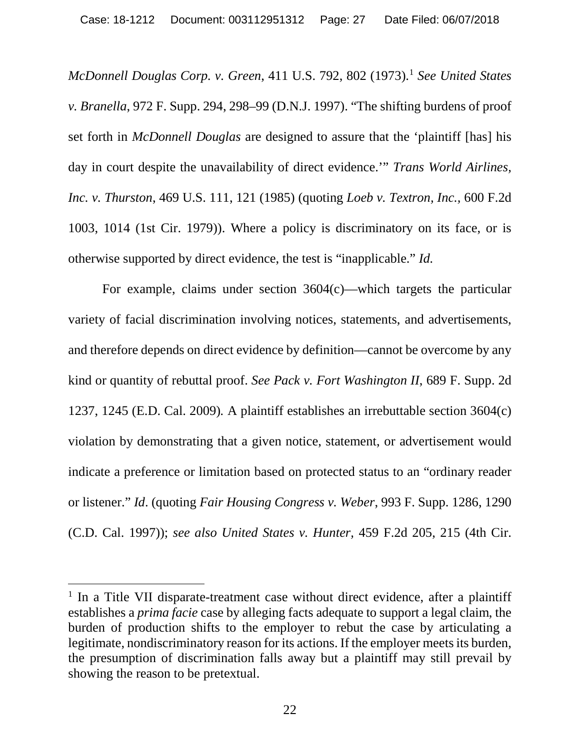*McDonnell Douglas Corp. v. Green*, 411 U.S. 792, 802 (1973). [1](#page-26-0) *See United States v. Branella*, 972 F. Supp. 294, 298–99 (D.N.J. 1997). "The shifting burdens of proof set forth in *McDonnell Douglas* are designed to assure that the 'plaintiff [has] his day in court despite the unavailability of direct evidence.'" *Trans World Airlines, Inc. v. Thurston*, 469 U.S. 111, 121 (1985) (quoting *Loeb v. Textron, Inc.,* 600 F.2d 1003, 1014 (1st Cir. 1979)). Where a policy is discriminatory on its face, or is otherwise supported by direct evidence, the test is "inapplicable." *Id.* 

For example, claims under section 3604(c)—which targets the particular variety of facial discrimination involving notices, statements, and advertisements, and therefore depends on direct evidence by definition—cannot be overcome by any kind or quantity of rebuttal proof. *See Pack v. Fort Washington II*, 689 F. Supp. 2d 1237, 1245 (E.D. Cal. 2009)*.* A plaintiff establishes an irrebuttable section 3604(c) violation by demonstrating that a given notice, statement, or advertisement would indicate a preference or limitation based on protected status to an "ordinary reader or listener." *Id*. (quoting *Fair Housing Congress v. Weber*, 993 F. Supp. 1286, 1290 (C.D. Cal. 1997)); *see also United States v. Hunter,* 459 F.2d 205, 215 (4th Cir.

<span id="page-26-0"></span><sup>&</sup>lt;sup>1</sup> In a Title VII disparate-treatment case without direct evidence, after a plaintiff establishes a *prima facie* case by alleging facts adequate to support a legal claim, the burden of production shifts to the employer to rebut the case by articulating a legitimate, nondiscriminatory reason for its actions. If the employer meets its burden, the presumption of discrimination falls away but a plaintiff may still prevail by showing the reason to be pretextual.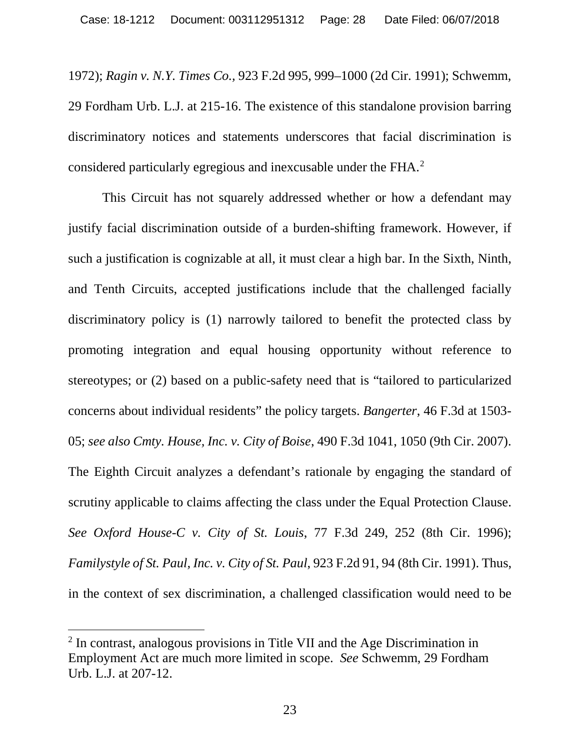1972); *Ragin v. N.Y. Times Co.,* 923 F.2d 995, 999–1000 (2d Cir. 1991); Schwemm, 29 Fordham Urb. L.J. at 215-16. The existence of this standalone provision barring discriminatory notices and statements underscores that facial discrimination is considered particularly egregious and inexcusable under the FHA. [2](#page-27-0)

This Circuit has not squarely addressed whether or how a defendant may justify facial discrimination outside of a burden-shifting framework. However, if such a justification is cognizable at all, it must clear a high bar. In the Sixth, Ninth, and Tenth Circuits, accepted justifications include that the challenged facially discriminatory policy is (1) narrowly tailored to benefit the protected class by promoting integration and equal housing opportunity without reference to stereotypes; or (2) based on a public-safety need that is "tailored to particularized concerns about individual residents" the policy targets. *Bangerter*, 46 F.3d at 1503- 05; *see also Cmty. House, Inc. v. City of Boise*, 490 F.3d 1041, 1050 (9th Cir. 2007). The Eighth Circuit analyzes a defendant's rationale by engaging the standard of scrutiny applicable to claims affecting the class under the Equal Protection Clause. *See Oxford House-C v. City of St. Louis*, 77 F.3d 249, 252 (8th Cir. 1996); *Familystyle of St. Paul, Inc. v. City of St. Paul*, 923 F.2d 91, 94 (8th Cir. 1991). Thus, in the context of sex discrimination, a challenged classification would need to be

<span id="page-27-0"></span> <sup>2</sup> In contrast, analogous provisions in Title VII and the Age Discrimination in Employment Act are much more limited in scope. *See* Schwemm, 29 Fordham Urb. L.J. at 207-12.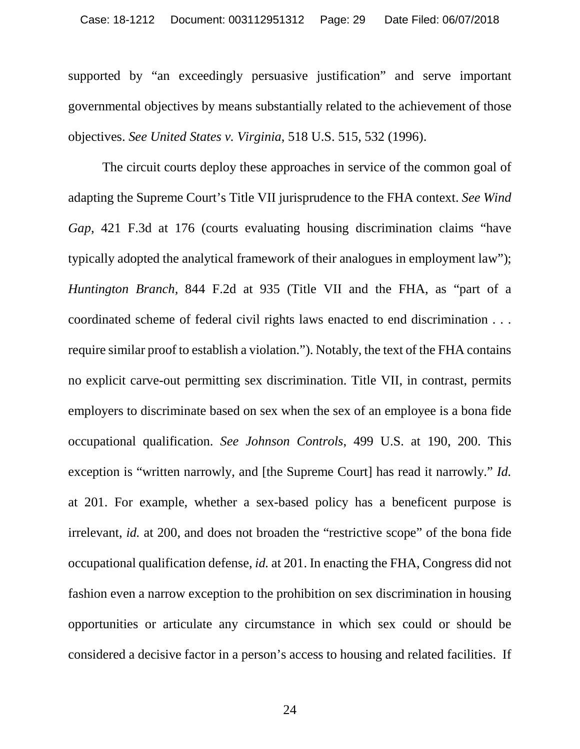supported by "an exceedingly persuasive justification" and serve important governmental objectives by means substantially related to the achievement of those objectives. *See United States v. Virginia*, 518 U.S. 515, 532 (1996).

The circuit courts deploy these approaches in service of the common goal of adapting the Supreme Court's Title VII jurisprudence to the FHA context. *See Wind Gap*, 421 F.3d at 176 (courts evaluating housing discrimination claims "have typically adopted the analytical framework of their analogues in employment law"); *Huntington Branch,* 844 F.2d at 935 (Title VII and the FHA, as "part of a coordinated scheme of federal civil rights laws enacted to end discrimination . . . require similar proof to establish a violation."). Notably, the text of the FHA contains no explicit carve-out permitting sex discrimination. Title VII, in contrast, permits employers to discriminate based on sex when the sex of an employee is a bona fide occupational qualification. *See Johnson Controls*, 499 U.S. at 190, 200. This exception is "written narrowly, and [the Supreme Court] has read it narrowly." *Id.*  at 201. For example, whether a sex-based policy has a beneficent purpose is irrelevant, *id.* at 200, and does not broaden the "restrictive scope" of the bona fide occupational qualification defense, *id.* at 201. In enacting the FHA, Congress did not fashion even a narrow exception to the prohibition on sex discrimination in housing opportunities or articulate any circumstance in which sex could or should be considered a decisive factor in a person's access to housing and related facilities. If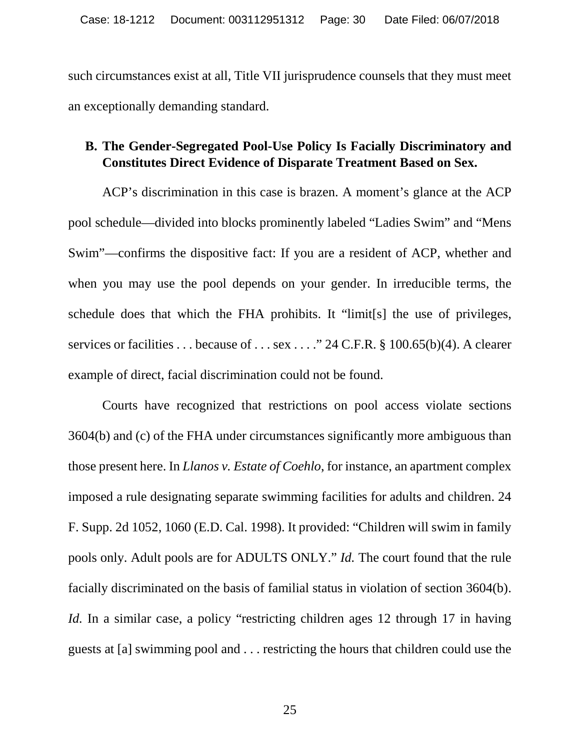such circumstances exist at all, Title VII jurisprudence counsels that they must meet an exceptionally demanding standard.

# <span id="page-29-0"></span>**B. The Gender-Segregated Pool-Use Policy Is Facially Discriminatory and Constitutes Direct Evidence of Disparate Treatment Based on Sex.**

ACP's discrimination in this case is brazen. A moment's glance at the ACP pool schedule—divided into blocks prominently labeled "Ladies Swim" and "Mens Swim"—confirms the dispositive fact: If you are a resident of ACP, whether and when you may use the pool depends on your gender. In irreducible terms, the schedule does that which the FHA prohibits. It "limit[s] the use of privileges, services or facilities . . . because of . . . sex . . . . " 24 C.F.R. § 100.65(b)(4). A clearer example of direct, facial discrimination could not be found.

Courts have recognized that restrictions on pool access violate sections 3604(b) and (c) of the FHA under circumstances significantly more ambiguous than those present here. In *Llanos v. Estate of Coehlo*, for instance, an apartment complex imposed a rule designating separate swimming facilities for adults and children. 24 F. Supp. 2d 1052, 1060 (E.D. Cal. 1998). It provided: "Children will swim in family pools only. Adult pools are for ADULTS ONLY." *Id.* The court found that the rule facially discriminated on the basis of familial status in violation of section 3604(b). *Id.* In a similar case, a policy "restricting children ages 12 through 17 in having guests at [a] swimming pool and . . . restricting the hours that children could use the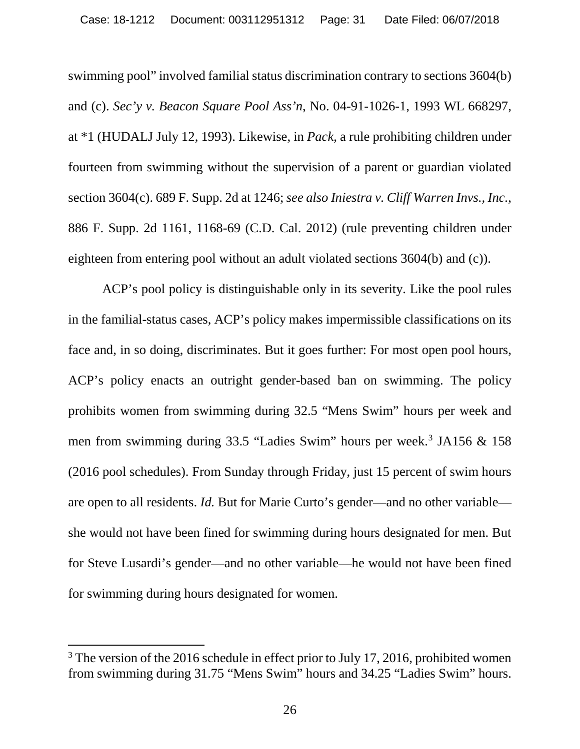swimming pool" involved familial status discrimination contrary to sections 3604(b) and (c). *Sec'y v. Beacon Square Pool Ass'n*, No. 04-91-1026-1, 1993 WL 668297, at \*1 (HUDALJ July 12, 1993). Likewise, in *Pack*, a rule prohibiting children under fourteen from swimming without the supervision of a parent or guardian violated section 3604(c). 689 F. Supp. 2d at 1246; *see also Iniestra v. Cliff Warren Invs., Inc.*, 886 F. Supp. 2d 1161, 1168-69 (C.D. Cal. 2012) (rule preventing children under eighteen from entering pool without an adult violated sections 3604(b) and (c)).

ACP's pool policy is distinguishable only in its severity. Like the pool rules in the familial-status cases, ACP's policy makes impermissible classifications on its face and, in so doing, discriminates. But it goes further: For most open pool hours, ACP's policy enacts an outright gender-based ban on swimming. The policy prohibits women from swimming during 32.5 "Mens Swim" hours per week and men from swimming during 33.5 "Ladies Swim" hours per week.<sup>3</sup> JA156 & 158 (2016 pool schedules). From Sunday through Friday, just 15 percent of swim hours are open to all residents. *Id.* But for Marie Curto's gender—and no other variable she would not have been fined for swimming during hours designated for men. But for Steve Lusardi's gender—and no other variable—he would not have been fined for swimming during hours designated for women.

<span id="page-30-0"></span><sup>&</sup>lt;sup>3</sup> The version of the 2016 schedule in effect prior to July 17, 2016, prohibited women from swimming during 31.75 "Mens Swim" hours and 34.25 "Ladies Swim" hours.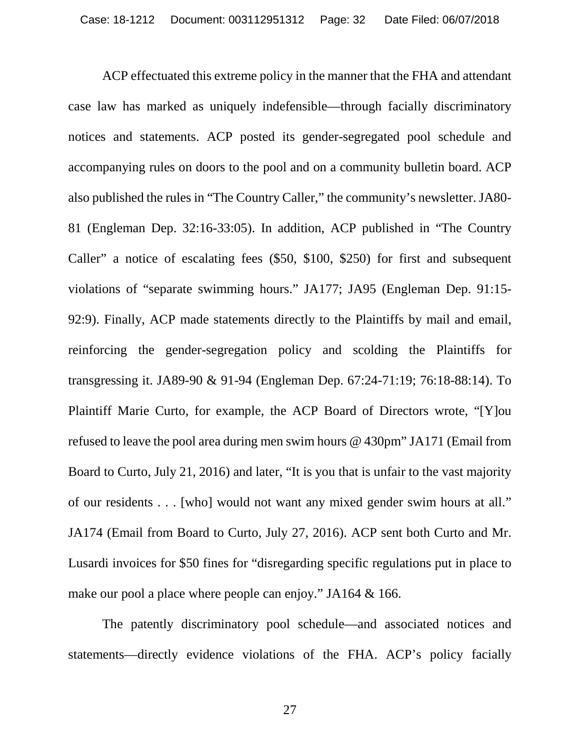ACP effectuated this extreme policy in the manner that the FHA and attendant case law has marked as uniquely indefensible—through facially discriminatory notices and statements. ACP posted its gender-segregated pool schedule and accompanying rules on doors to the pool and on a community bulletin board. ACP also published the rules in "The Country Caller," the community's newsletter. JA80- 81 (Engleman Dep. 32:16-33:05). In addition, ACP published in "The Country Caller" a notice of escalating fees (\$50, \$100, \$250) for first and subsequent violations of "separate swimming hours." JA177; JA95 (Engleman Dep. 91:15- 92:9). Finally, ACP made statements directly to the Plaintiffs by mail and email, reinforcing the gender-segregation policy and scolding the Plaintiffs for transgressing it. JA89-90 & 91-94 (Engleman Dep. 67:24-71:19; 76:18-88:14). To Plaintiff Marie Curto, for example, the ACP Board of Directors wrote, "[Y]ou refused to leave the pool area during men swim hours @ 430pm" JA171 (Email from Board to Curto, July 21, 2016) and later, "It is you that is unfair to the vast majority of our residents . . . [who] would not want any mixed gender swim hours at all." JA174 (Email from Board to Curto, July 27, 2016). ACP sent both Curto and Mr. Lusardi invoices for \$50 fines for "disregarding specific regulations put in place to make our pool a place where people can enjoy." JA164 & 166.

The patently discriminatory pool schedule—and associated notices and statements—directly evidence violations of the FHA. ACP's policy facially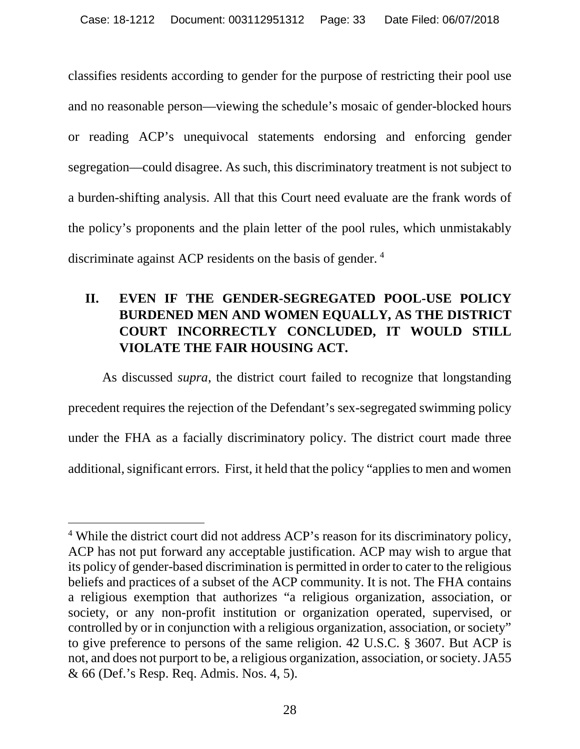classifies residents according to gender for the purpose of restricting their pool use and no reasonable person—viewing the schedule's mosaic of gender-blocked hours or reading ACP's unequivocal statements endorsing and enforcing gender segregation—could disagree. As such, this discriminatory treatment is not subject to a burden-shifting analysis. All that this Court need evaluate are the frank words of the policy's proponents and the plain letter of the pool rules, which unmistakably discriminate against ACP residents on the basis of gender. [4](#page-32-1)

# <span id="page-32-0"></span>**II. EVEN IF THE GENDER-SEGREGATED POOL-USE POLICY BURDENED MEN AND WOMEN EQUALLY, AS THE DISTRICT COURT INCORRECTLY CONCLUDED, IT WOULD STILL VIOLATE THE FAIR HOUSING ACT.**

As discussed *supra*, the district court failed to recognize that longstanding precedent requires the rejection of the Defendant's sex-segregated swimming policy under the FHA as a facially discriminatory policy. The district court made three additional, significant errors. First, it held that the policy "applies to men and women

<span id="page-32-1"></span> <sup>4</sup> While the district court did not address ACP's reason for its discriminatory policy, ACP has not put forward any acceptable justification. ACP may wish to argue that its policy of gender-based discrimination is permitted in order to cater to the religious beliefs and practices of a subset of the ACP community. It is not. The FHA contains a religious exemption that authorizes "a religious organization, association, or society, or any non-profit institution or organization operated, supervised, or controlled by or in conjunction with a religious organization, association, or society" to give preference to persons of the same religion. 42 U.S.C. § 3607. But ACP is not, and does not purport to be, a religious organization, association, or society. JA55 & 66 (Def.'s Resp. Req. Admis. Nos. 4, 5).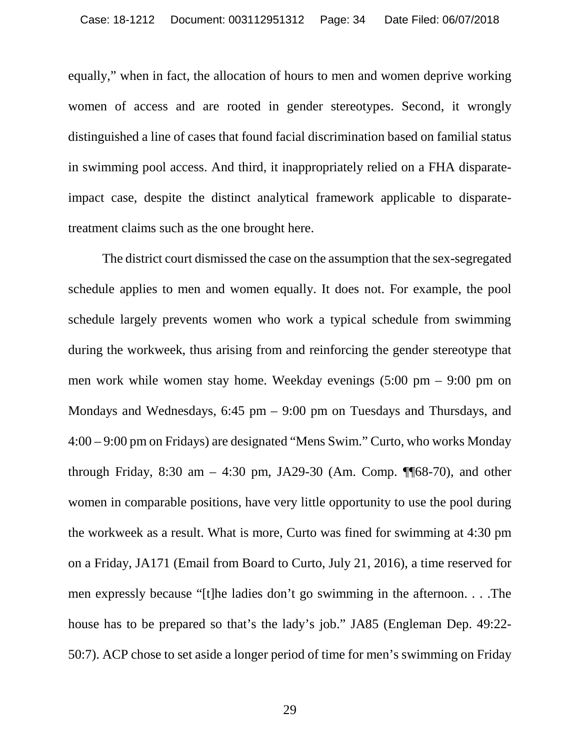equally," when in fact, the allocation of hours to men and women deprive working women of access and are rooted in gender stereotypes. Second, it wrongly distinguished a line of cases that found facial discrimination based on familial status in swimming pool access. And third, it inappropriately relied on a FHA disparateimpact case, despite the distinct analytical framework applicable to disparatetreatment claims such as the one brought here.

The district court dismissed the case on the assumption that the sex-segregated schedule applies to men and women equally. It does not. For example, the pool schedule largely prevents women who work a typical schedule from swimming during the workweek, thus arising from and reinforcing the gender stereotype that men work while women stay home. Weekday evenings (5:00 pm – 9:00 pm on Mondays and Wednesdays, 6:45 pm – 9:00 pm on Tuesdays and Thursdays, and 4:00 – 9:00 pm on Fridays) are designated "Mens Swim." Curto, who works Monday through Friday, 8:30 am  $-$  4:30 pm, JA29-30 (Am. Comp. ¶ 68-70), and other women in comparable positions, have very little opportunity to use the pool during the workweek as a result. What is more, Curto was fined for swimming at 4:30 pm on a Friday, JA171 (Email from Board to Curto, July 21, 2016), a time reserved for men expressly because "[t]he ladies don't go swimming in the afternoon. . . .The house has to be prepared so that's the lady's job." JA85 (Engleman Dep. 49:22- 50:7). ACP chose to set aside a longer period of time for men's swimming on Friday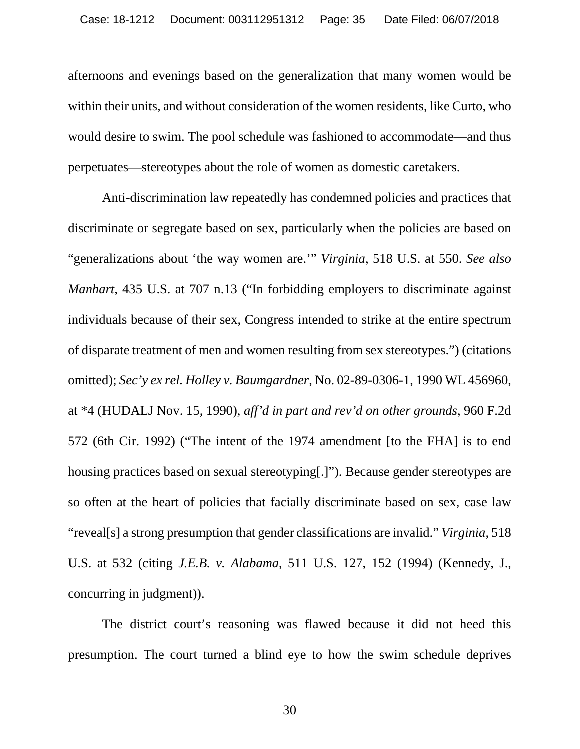afternoons and evenings based on the generalization that many women would be within their units, and without consideration of the women residents, like Curto, who would desire to swim. The pool schedule was fashioned to accommodate—and thus perpetuates—stereotypes about the role of women as domestic caretakers.

Anti-discrimination law repeatedly has condemned policies and practices that discriminate or segregate based on sex, particularly when the policies are based on "generalizations about 'the way women are.'" *Virginia*, 518 U.S. at 550. *See also Manhart*, 435 U.S. at 707 n.13 ("In forbidding employers to discriminate against individuals because of their sex, Congress intended to strike at the entire spectrum of disparate treatment of men and women resulting from sex stereotypes.") (citations omitted); *Sec'y ex rel. Holley v. Baumgardner*, No. 02-89-0306-1, 1990 WL 456960, at \*4 (HUDALJ Nov. 15, 1990), *aff'd in part and rev'd on other grounds*, 960 F.2d 572 (6th Cir. 1992) ("The intent of the 1974 amendment [to the FHA] is to end housing practices based on sexual stereotyping[.]"). Because gender stereotypes are so often at the heart of policies that facially discriminate based on sex, case law "reveal[s] a strong presumption that gender classifications are invalid." *Virginia*, 518 U.S. at 532 (citing *J.E.B. v. Alabama*, 511 U.S. 127, 152 (1994) (Kennedy, J., concurring in judgment)).

The district court's reasoning was flawed because it did not heed this presumption. The court turned a blind eye to how the swim schedule deprives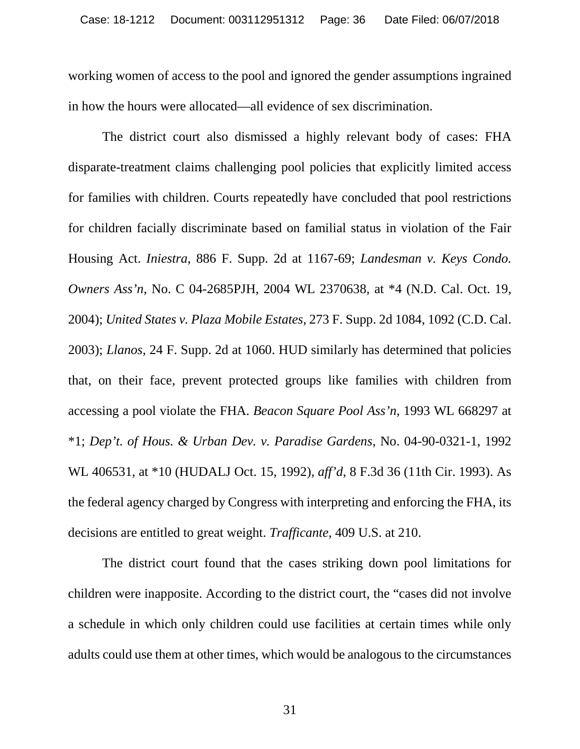working women of access to the pool and ignored the gender assumptions ingrained in how the hours were allocated—all evidence of sex discrimination.

The district court also dismissed a highly relevant body of cases: FHA disparate-treatment claims challenging pool policies that explicitly limited access for families with children. Courts repeatedly have concluded that pool restrictions for children facially discriminate based on familial status in violation of the Fair Housing Act. *Iniestra*, 886 F. Supp. 2d at 1167-69; *Landesman v. Keys Condo. Owners Ass'n*, No. C 04-2685PJH, 2004 WL 2370638, at \*4 (N.D. Cal. Oct. 19, 2004); *United States v. Plaza Mobile Estates*, 273 F. Supp. 2d 1084, 1092 (C.D. Cal. 2003); *Llanos*, 24 F. Supp. 2d at 1060. HUD similarly has determined that policies that, on their face, prevent protected groups like families with children from accessing a pool violate the FHA. *Beacon Square Pool Ass'n*, 1993 WL 668297 at \*1; *Dep't. of Hous. & Urban Dev. v. Paradise Gardens*, No. 04-90-0321-1, 1992 WL 406531, at \*10 (HUDALJ Oct. 15, 1992), *aff'd*, 8 F.3d 36 (11th Cir. 1993). As the federal agency charged by Congress with interpreting and enforcing the FHA, its decisions are entitled to great weight. *Trafficante*, 409 U.S. at 210.

The district court found that the cases striking down pool limitations for children were inapposite. According to the district court, the "cases did not involve a schedule in which only children could use facilities at certain times while only adults could use them at other times, which would be analogous to the circumstances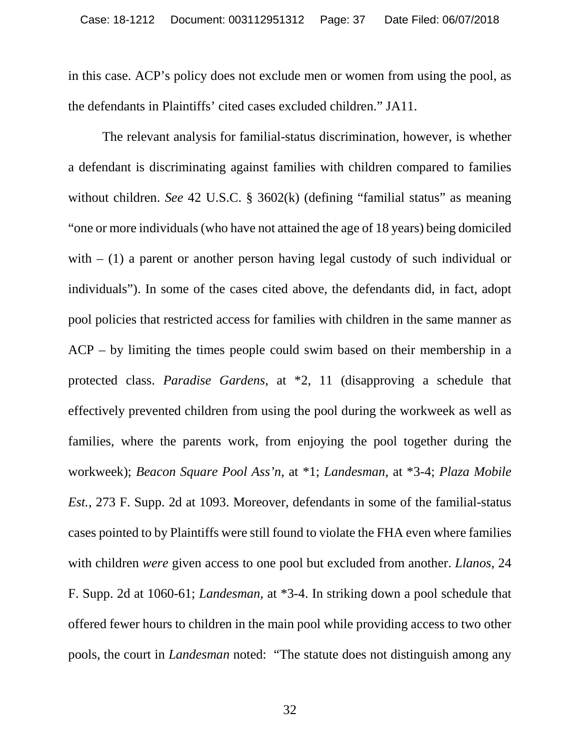in this case. ACP's policy does not exclude men or women from using the pool, as the defendants in Plaintiffs' cited cases excluded children." JA11.

The relevant analysis for familial-status discrimination, however, is whether a defendant is discriminating against families with children compared to families without children. *See* 42 U.S.C. § 3602(k) (defining "familial status" as meaning "one or more individuals (who have not attained the age of 18 years) being domiciled with  $- (1)$  a parent or another person having legal custody of such individual or individuals"). In some of the cases cited above, the defendants did, in fact, adopt pool policies that restricted access for families with children in the same manner as ACP – by limiting the times people could swim based on their membership in a protected class. *Paradise Gardens*, at \*2, 11 (disapproving a schedule that effectively prevented children from using the pool during the workweek as well as families, where the parents work, from enjoying the pool together during the workweek); *Beacon Square Pool Ass'n*, at \*1; *Landesman*, at \*3-4; *Plaza Mobile Est.*, 273 F. Supp. 2d at 1093. Moreover, defendants in some of the familial-status cases pointed to by Plaintiffs were still found to violate the FHA even where families with children *were* given access to one pool but excluded from another. *Llanos*, 24 F. Supp. 2d at 1060-61; *Landesman*, at \*3-4. In striking down a pool schedule that offered fewer hours to children in the main pool while providing access to two other pools, the court in *Landesman* noted: "The statute does not distinguish among any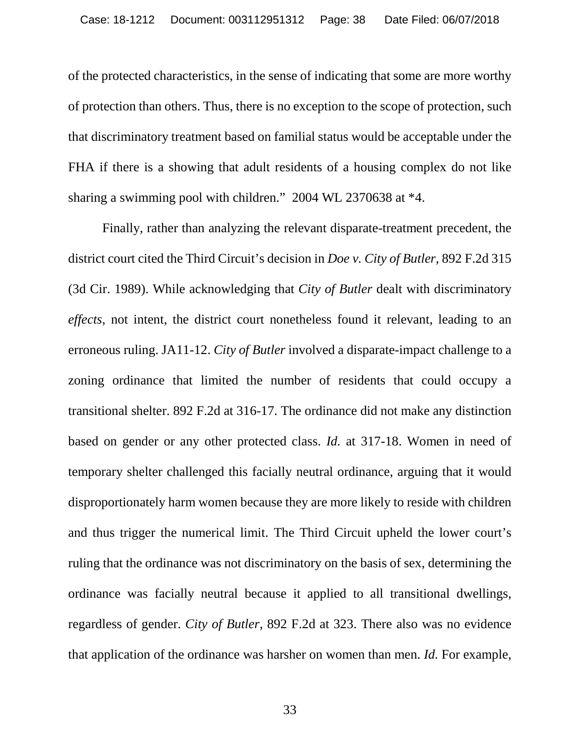of the protected characteristics, in the sense of indicating that some are more worthy of protection than others. Thus, there is no exception to the scope of protection, such that discriminatory treatment based on familial status would be acceptable under the FHA if there is a showing that adult residents of a housing complex do not like sharing a swimming pool with children." 2004 WL 2370638 at \*4.

Finally, rather than analyzing the relevant disparate-treatment precedent, the district court cited the Third Circuit's decision in *Doe v. City of Butler*, 892 F.2d 315 (3d Cir. 1989). While acknowledging that *City of Butler* dealt with discriminatory *effects*, not intent, the district court nonetheless found it relevant, leading to an erroneous ruling. JA11-12. *City of Butler* involved a disparate-impact challenge to a zoning ordinance that limited the number of residents that could occupy a transitional shelter. 892 F.2d at 316-17. The ordinance did not make any distinction based on gender or any other protected class. *Id.* at 317-18. Women in need of temporary shelter challenged this facially neutral ordinance, arguing that it would disproportionately harm women because they are more likely to reside with children and thus trigger the numerical limit. The Third Circuit upheld the lower court's ruling that the ordinance was not discriminatory on the basis of sex, determining the ordinance was facially neutral because it applied to all transitional dwellings, regardless of gender. *City of Butler*, 892 F.2d at 323. There also was no evidence that application of the ordinance was harsher on women than men. *Id.* For example,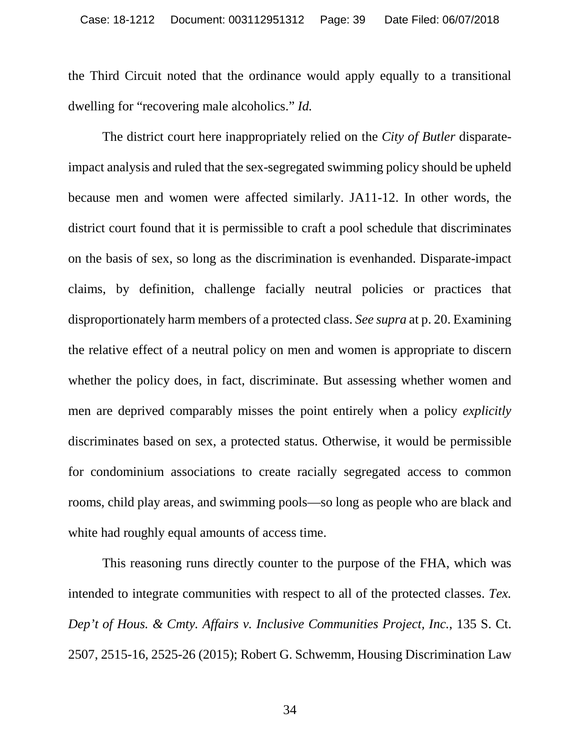the Third Circuit noted that the ordinance would apply equally to a transitional dwelling for "recovering male alcoholics." *Id.*

The district court here inappropriately relied on the *City of Butler* disparateimpact analysis and ruled that the sex-segregated swimming policy should be upheld because men and women were affected similarly. JA11-12. In other words, the district court found that it is permissible to craft a pool schedule that discriminates on the basis of sex, so long as the discrimination is evenhanded. Disparate-impact claims, by definition, challenge facially neutral policies or practices that disproportionately harm members of a protected class. *See supra* at p. 20. Examining the relative effect of a neutral policy on men and women is appropriate to discern whether the policy does, in fact, discriminate. But assessing whether women and men are deprived comparably misses the point entirely when a policy *explicitly*  discriminates based on sex, a protected status. Otherwise, it would be permissible for condominium associations to create racially segregated access to common rooms, child play areas, and swimming pools—so long as people who are black and white had roughly equal amounts of access time.

This reasoning runs directly counter to the purpose of the FHA, which was intended to integrate communities with respect to all of the protected classes. *Tex. Dep't of Hous. & Cmty. Affairs v. Inclusive Communities Project, Inc.*, 135 S. Ct. 2507, 2515-16, 2525-26 (2015); Robert G. Schwemm, Housing Discrimination Law

34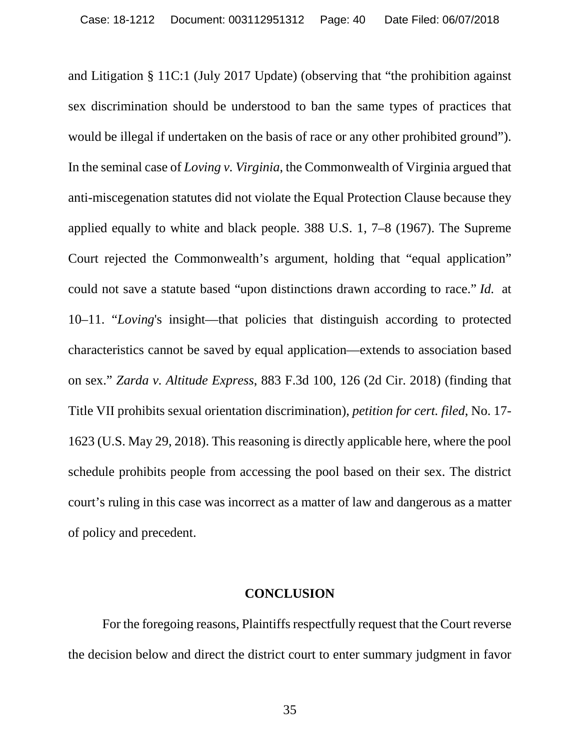and Litigation § 11C:1 (July 2017 Update) (observing that "the prohibition against sex discrimination should be understood to ban the same types of practices that would be illegal if undertaken on the basis of race or any other prohibited ground"). In the seminal case of *Loving v. Virginia*, the Commonwealth of Virginia argued that anti-miscegenation statutes did not violate the Equal Protection Clause because they applied equally to white and black people. 388 U.S. 1, 7–8 (1967). The Supreme Court rejected the Commonwealth's argument, holding that "equal application" could not save a statute based "upon distinctions drawn according to race." *Id.* at 10–11. "*Loving*'s insight—that policies that distinguish according to protected characteristics cannot be saved by equal application—extends to association based on sex." *Zarda v. Altitude Express*, 883 F.3d 100, 126 (2d Cir. 2018) (finding that Title VII prohibits sexual orientation discrimination), *petition for cert. filed*, No. 17- 1623 (U.S. May 29, 2018). This reasoning is directly applicable here, where the pool schedule prohibits people from accessing the pool based on their sex. The district court's ruling in this case was incorrect as a matter of law and dangerous as a matter of policy and precedent.

### **CONCLUSION**

<span id="page-39-0"></span>For the foregoing reasons, Plaintiffs respectfully request that the Court reverse the decision below and direct the district court to enter summary judgment in favor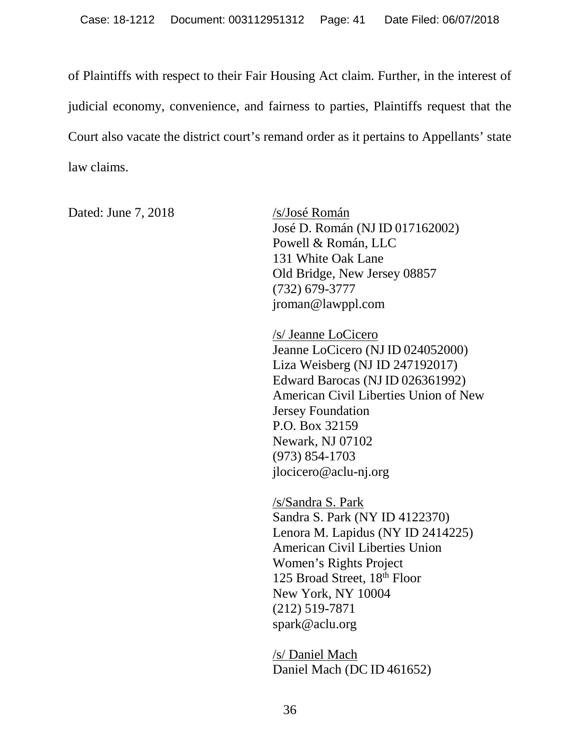of Plaintiffs with respect to their Fair Housing Act claim. Further, in the interest of judicial economy, convenience, and fairness to parties, Plaintiffs request that the Court also vacate the district court's remand order as it pertains to Appellants' state law claims.

Dated: June 7, 2018 /s/José Román

José D. Román (NJ ID 017162002) Powell & Román, LLC 131 White Oak Lane Old Bridge, New Jersey 08857 (732) 679-3777 jroman@lawppl.com

/s/ Jeanne LoCicero Jeanne LoCicero (NJID 024052000) Liza Weisberg (NJ ID 247192017) Edward Barocas (NJID 026361992) American Civil Liberties Union of New Jersey Foundation P.O. Box 32159 Newark, NJ 07102 (973) 854-1703 jlocicero@aclu-nj.org

/s/Sandra S. Park Sandra S. Park (NY ID 4122370) Lenora M. Lapidus (NY ID 2414225) American Civil Liberties Union Women's Rights Project 125 Broad Street, 18<sup>th</sup> Floor New York, NY 10004 (212) 519-7871 spark@aclu.org

/s/ Daniel Mach Daniel Mach (DC ID 461652)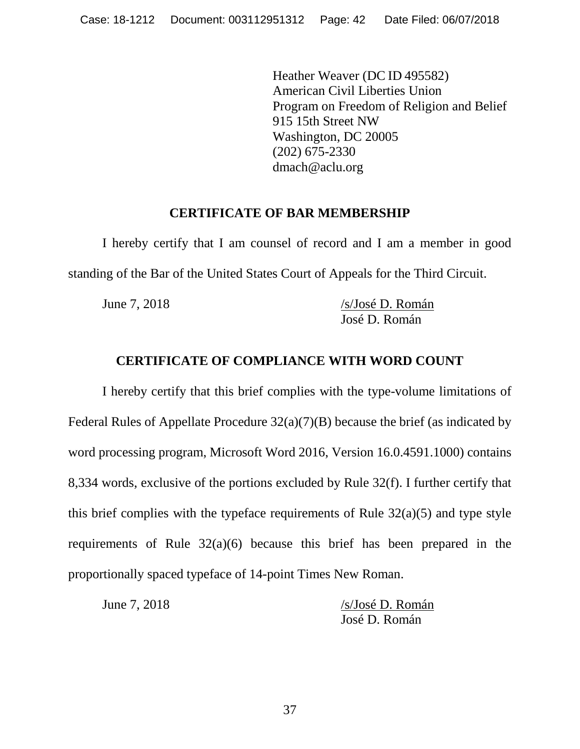Heather Weaver (DC ID 495582) American Civil Liberties Union Program on Freedom of Religion and Belief 915 15th Street NW dmach@aclu.org Washington, DC 20005 (202) 675-2330

# **CERTIFICATE OF BAR MEMBERSHIP**

<span id="page-41-0"></span>I hereby certify that I am counsel of record and I am a member in good standing of the Bar of the United States Court of Appeals for the Third Circuit.

June 7, 2018 /s/José D. Román José D. Román

# **CERTIFICATE OF COMPLIANCE WITH WORD COUNT**

<span id="page-41-1"></span>I hereby certify that this brief complies with the type-volume limitations of Federal Rules of Appellate Procedure 32(a)(7)(B) because the brief (as indicated by word processing program, Microsoft Word 2016, Version 16.0.4591.1000) contains 8,334 words, exclusive of the portions excluded by Rule 32(f). I further certify that this brief complies with the typeface requirements of Rule  $32(a)(5)$  and type style requirements of Rule 32(a)(6) because this brief has been prepared in the proportionally spaced typeface of 14-point Times New Roman.

| June 7, 2018 | /s/José D. Román |
|--------------|------------------|
|              | José D. Román    |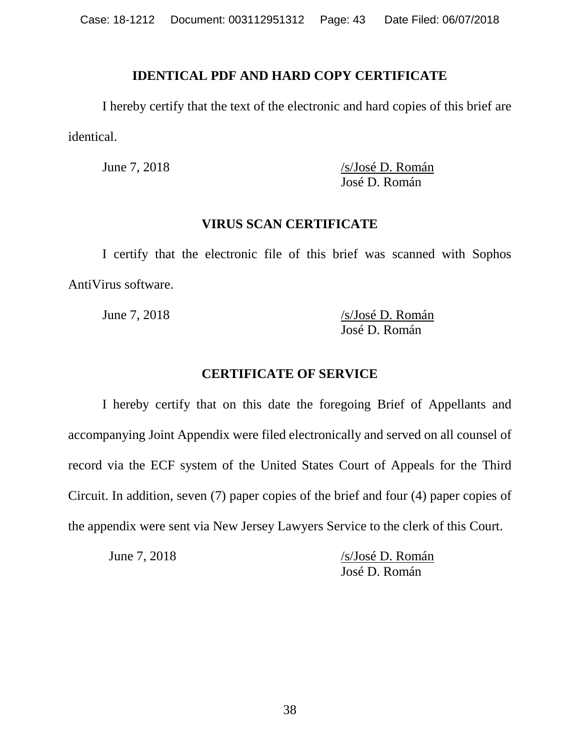# **IDENTICAL PDF AND HARD COPY CERTIFICATE**

<span id="page-42-0"></span>I hereby certify that the text of the electronic and hard copies of this brief are identical.

June 7, 2018 /s/José D. Román José D. Román

## **VIRUS SCAN CERTIFICATE**

<span id="page-42-1"></span>I certify that the electronic file of this brief was scanned with Sophos AntiVirus software.

June 7, 2018 /s/José D. Román José D. Román

# **CERTIFICATE OF SERVICE**

<span id="page-42-2"></span>I hereby certify that on this date the foregoing Brief of Appellants and accompanying Joint Appendix were filed electronically and served on all counsel of record via the ECF system of the United States Court of Appeals for the Third Circuit. In addition, seven (7) paper copies of the brief and four (4) paper copies of the appendix were sent via New Jersey Lawyers Service to the clerk of this Court.

June 7, 2018 /s/José D. Román José D. Román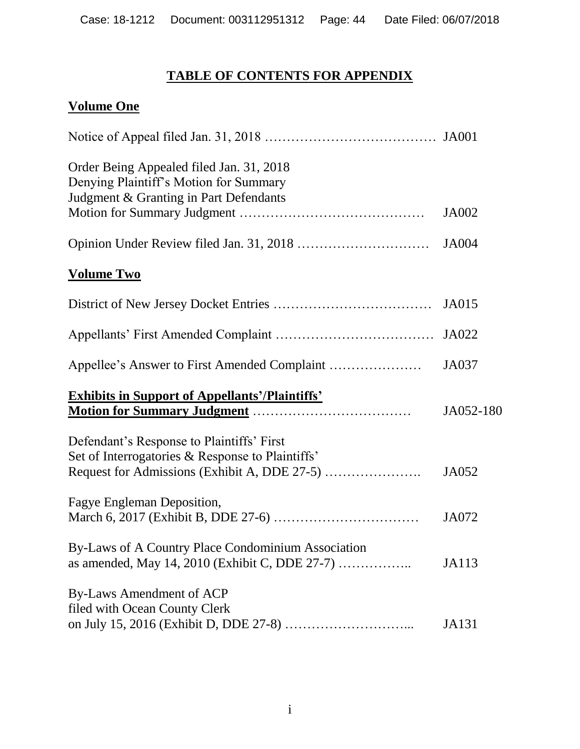# **TABLE OF CONTENTS FOR APPENDIX**

# **Volume One**

| Order Being Appealed filed Jan. 31, 2018<br>Denying Plaintiff's Motion for Summary<br>Judgment & Granting in Part Defendants |              |
|------------------------------------------------------------------------------------------------------------------------------|--------------|
|                                                                                                                              | <b>JA002</b> |
|                                                                                                                              | <b>JA004</b> |
| <b>Volume Two</b>                                                                                                            |              |
|                                                                                                                              | <b>JA015</b> |
|                                                                                                                              | JA022        |
|                                                                                                                              | JA037        |
| <b>Exhibits in Support of Appellants'/Plaintiffs'</b>                                                                        | JA052-180    |
| Defendant's Response to Plaintiffs' First<br>Set of Interrogatories & Response to Plaintiffs'                                | JA052        |
| Fagye Engleman Deposition,                                                                                                   | JA072        |
| By-Laws of A Country Place Condominium Association                                                                           | JA113        |
| By-Laws Amendment of ACP<br>filed with Ocean County Clerk                                                                    | JA131        |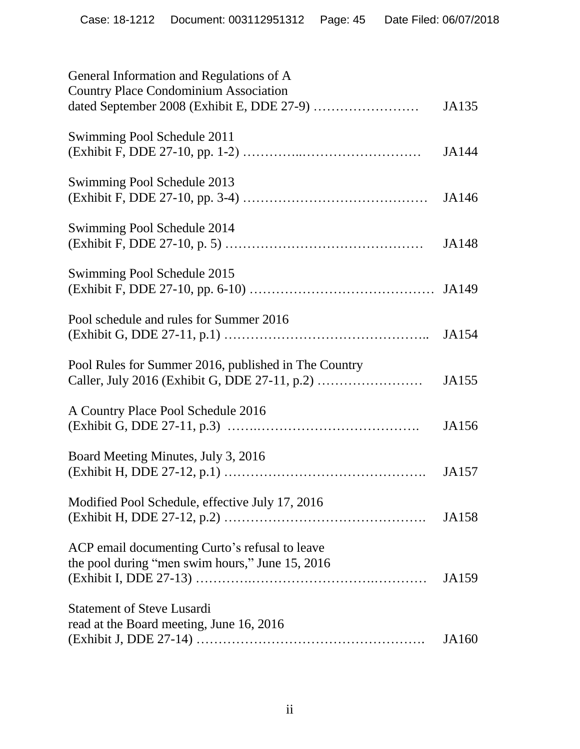| General Information and Regulations of A                                      |       |
|-------------------------------------------------------------------------------|-------|
| <b>Country Place Condominium Association</b>                                  | JA135 |
| Swimming Pool Schedule 2011                                                   | JA144 |
| Swimming Pool Schedule 2013                                                   | JA146 |
| Swimming Pool Schedule 2014                                                   | JA148 |
| Swimming Pool Schedule 2015                                                   |       |
| Pool schedule and rules for Summer 2016                                       | JA154 |
| Pool Rules for Summer 2016, published in The Country                          | JA155 |
| A Country Place Pool Schedule 2016                                            | JA156 |
| Board Meeting Minutes, July 3, 2016                                           |       |
| Modified Pool Schedule, effective July 17, 2016                               | JA157 |
| ACP email documenting Curto's refusal to leave                                | JA158 |
| the pool during "men swim hours," June 15, 2016                               | JA159 |
| <b>Statement of Steve Lusardi</b><br>read at the Board meeting, June 16, 2016 | JA160 |
|                                                                               |       |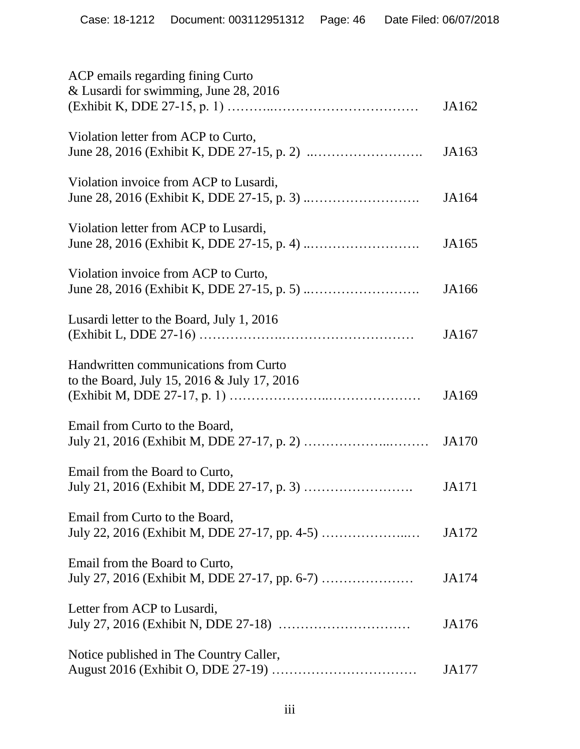| ACP emails regarding fining Curto<br>& Lusardi for swimming, June 28, 2016           |       |
|--------------------------------------------------------------------------------------|-------|
|                                                                                      | JA162 |
| Violation letter from ACP to Curto,                                                  | JA163 |
| Violation invoice from ACP to Lusardi,                                               | JA164 |
| Violation letter from ACP to Lusardi,                                                | JA165 |
| Violation invoice from ACP to Curto,                                                 | JA166 |
| Lusardi letter to the Board, July 1, 2016                                            | JA167 |
| Handwritten communications from Curto<br>to the Board, July 15, 2016 & July 17, 2016 | JA169 |
| Email from Curto to the Board,                                                       | JA170 |
| Email from the Board to Curto,                                                       | JA171 |
| Email from Curto to the Board,                                                       | JA172 |
| Email from the Board to Curto,                                                       | JA174 |
| Letter from ACP to Lusardi,                                                          | JA176 |
| Notice published in The Country Caller,                                              | JA177 |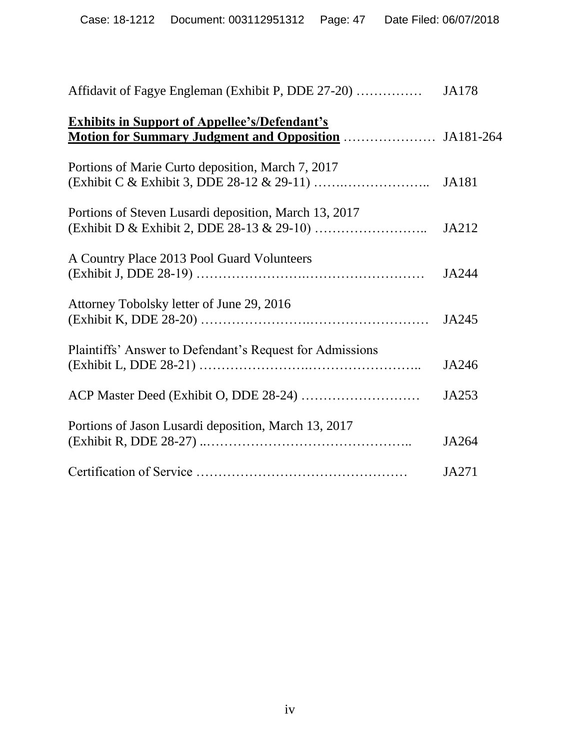| <b>Exhibits in Support of Appellee's/Defendant's</b>     |              |
|----------------------------------------------------------|--------------|
| Portions of Marie Curto deposition, March 7, 2017        | <b>JA181</b> |
| Portions of Steven Lusardi deposition, March 13, 2017    | JA212        |
| A Country Place 2013 Pool Guard Volunteers               | JA244        |
| Attorney Tobolsky letter of June 29, 2016                | JA245        |
| Plaintiffs' Answer to Defendant's Request for Admissions | JA246        |
|                                                          | JA253        |
| Portions of Jason Lusardi deposition, March 13, 2017     | JA264        |
|                                                          | JA271        |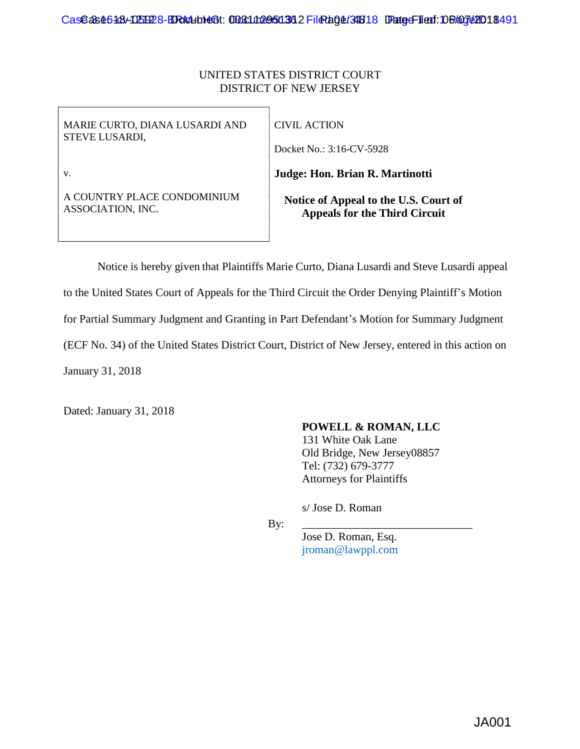## UNITED STATES DISTRICT COURT DISTRICT OF NEW JERSEY

| MARIE CURTO, DIANA LUSARDI AND | CIVIL ACTION                          |
|--------------------------------|---------------------------------------|
| <b>STEVE LUSARDI,</b>          | Docket No.: 3:16-CV-5928              |
| V.                             | Judge: Hon. Brian R. Martinotti       |
| A COUNTRY PLACE CONDOMINIUM    | Notice of Appeal to the U.S. Court of |
| ASSOCIATION, INC.              | <b>Appeals for the Third Circuit</b>  |

Notice is hereby given that Plaintiffs Marie Curto, Diana Lusardi and Steve Lusardi appeal to the United States Court of Appeals for the Third Circuit the Order Denying Plaintiff's Motion for Partial Summary Judgment and Granting in Part Defendant's Motion for Summary Judgment (ECF No. 34) of the United States District Court, District of New Jersey, entered in this action on January 31, 2018

Dated: January 31, 2018

### **POWELL & ROMAN, LLC**

131 White Oak Lane Old Bridge, New Jersey08857 Tel: (732) 679-3777 Attorneys for Plaintiffs

s/ Jose D. Roman

By: \_\_\_\_\_\_\_\_\_\_\_\_\_\_\_\_\_\_\_\_\_\_\_\_\_\_\_\_\_\_

Jose D. Roman, Esq. jroman@lawppl.com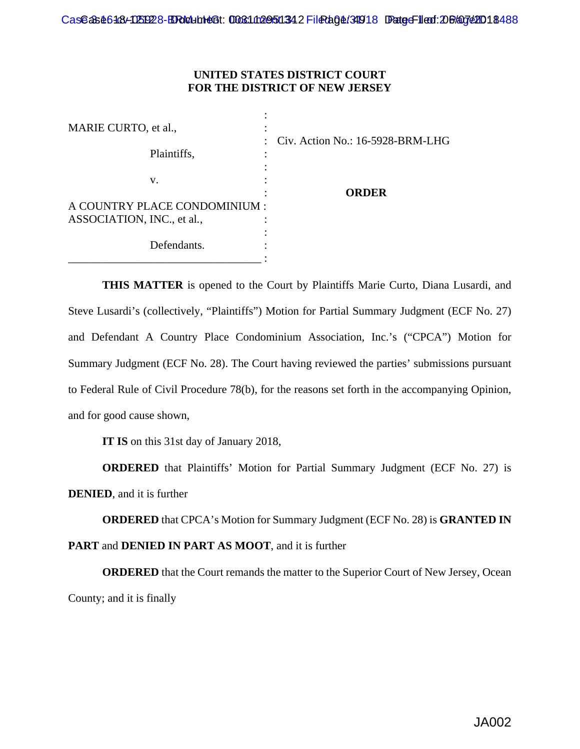### **UNITED STATES DISTRICT COURT FOR THE DISTRICT OF NEW JERSEY**

| MARIE CURTO, et al.,          | ٠                                                    |
|-------------------------------|------------------------------------------------------|
| Plaintiffs,                   | Civ. Action No.: 16-5928-BRM-LHG<br>$\bullet$ .<br>٠ |
| V.                            | ORDER                                                |
| A COUNTRY PLACE CONDOMINIUM : |                                                      |
| ASSOCIATION, INC., et al.,    | ٠                                                    |
| Defendants.                   |                                                      |

**THIS MATTER** is opened to the Court by Plaintiffs Marie Curto, Diana Lusardi, and Steve Lusardi's (collectively, "Plaintiffs") Motion for Partial Summary Judgment (ECF No. 27) and Defendant A Country Place Condominium Association, Inc.'s ("CPCA") Motion for Summary Judgment (ECF No. 28). The Court having reviewed the parties' submissions pursuant to Federal Rule of Civil Procedure 78(b), for the reasons set forth in the accompanying Opinion, and for good cause shown,

**IT IS** on this 31st day of January 2018,

**ORDERED** that Plaintiffs' Motion for Partial Summary Judgment (ECF No. 27) is **DENIED**, and it is further

**ORDERED** that CPCA's Motion for Summary Judgment (ECF No. 28) is **GRANTED IN** 

# **PART** and **DENIED IN PART AS MOOT**, and it is further

**ORDERED** that the Court remands the matter to the Superior Court of New Jersey, Ocean County; and it is finally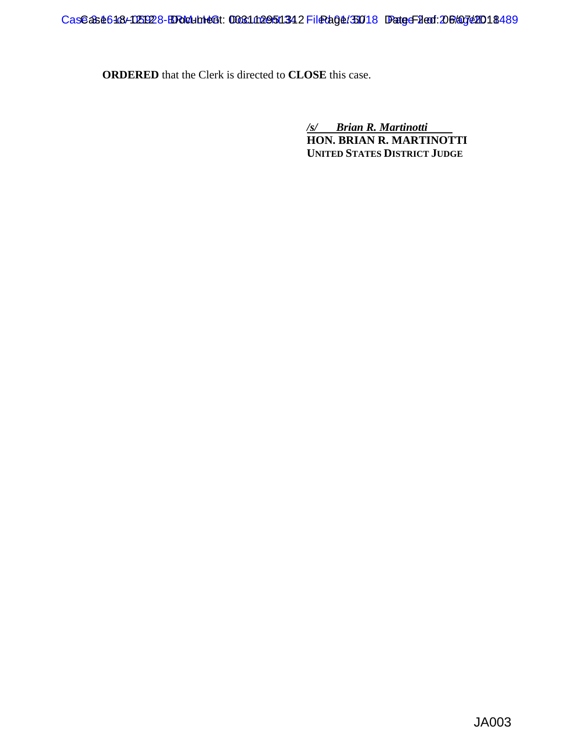**ORDERED** that the Clerk is directed to **CLOSE** this case.

*/s/ Brian R. Martinotti*  **HON. BRIAN R. MARTINOTTI UNITED STATES DISTRICT JUDGE**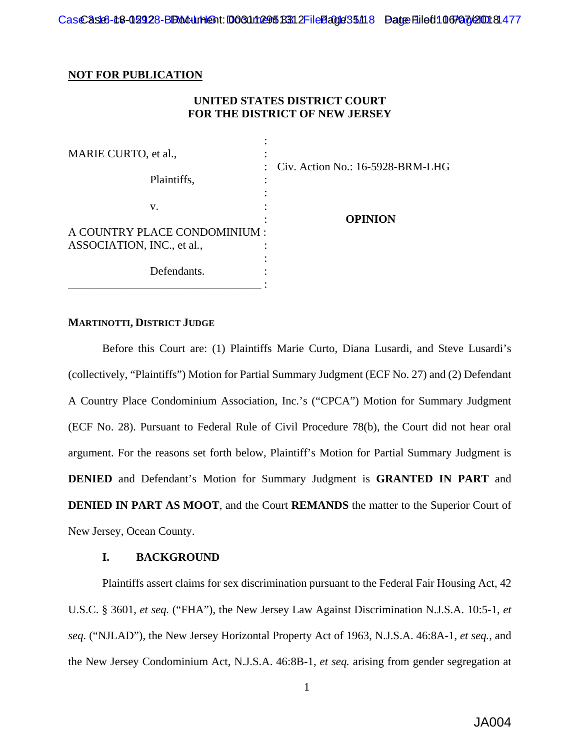#### **NOT FOR PUBLICATION**

### **UNITED STATES DISTRICT COURT FOR THE DISTRICT OF NEW JERSEY**

| MARIE CURTO, et al.,          |                                                          |
|-------------------------------|----------------------------------------------------------|
| Plaintiffs,                   | Civ. Action No.: 16-5928-BRM-LHG<br>$\ddot{\phantom{0}}$ |
| V.                            | <b>OPINION</b>                                           |
| A COUNTRY PLACE CONDOMINIUM : |                                                          |
| ASSOCIATION, INC., et al.,    |                                                          |
| Defendants.                   |                                                          |

### **MARTINOTTI, DISTRICT JUDGE**

Before this Court are: (1) Plaintiffs Marie Curto, Diana Lusardi, and Steve Lusardi's (collectively, "Plaintiffs") Motion for Partial Summary Judgment (ECF No. 27) and (2) Defendant A Country Place Condominium Association, Inc.'s ("CPCA") Motion for Summary Judgment (ECF No. 28). Pursuant to Federal Rule of Civil Procedure 78(b), the Court did not hear oral argument. For the reasons set forth below, Plaintiff's Motion for Partial Summary Judgment is **DENIED** and Defendant's Motion for Summary Judgment is **GRANTED IN PART** and **DENIED IN PART AS MOOT**, and the Court **REMANDS** the matter to the Superior Court of New Jersey, Ocean County.

#### **I. BACKGROUND**

Plaintiffs assert claims for sex discrimination pursuant to the Federal Fair Housing Act, 42 U.S.C. § 3601, *et seq.* ("FHA"), the New Jersey Law Against Discrimination N.J.S.A. 10:5-1, *et seq*. ("NJLAD"), the New Jersey Horizontal Property Act of 1963, N.J.S.A. 46:8A-1, *et seq.*, and the New Jersey Condominium Act, N.J.S.A. 46:8B-1, *et seq.* arising from gender segregation at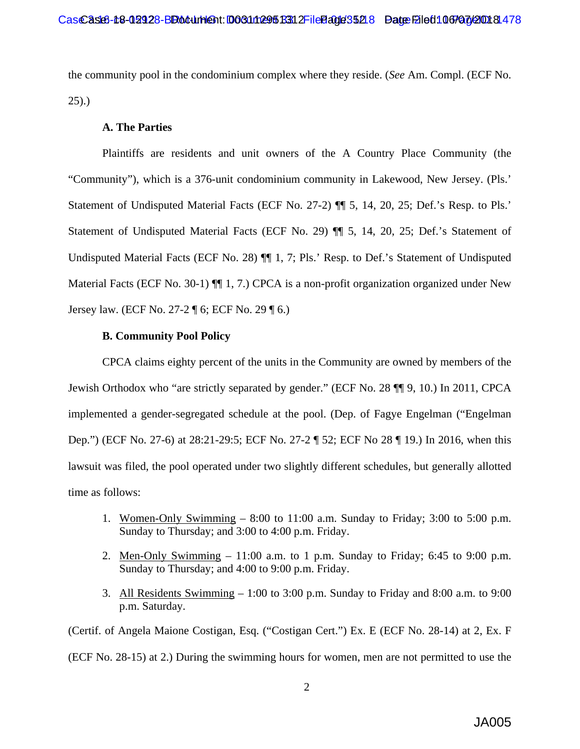the community pool in the condominium complex where they reside. (*See* Am. Compl. (ECF No. 25).)

#### **A. The Parties**

Plaintiffs are residents and unit owners of the A Country Place Community (the "Community"), which is a 376-unit condominium community in Lakewood, New Jersey. (Pls.' Statement of Undisputed Material Facts (ECF No. 27-2) ¶¶ 5, 14, 20, 25; Def.'s Resp. to Pls.' Statement of Undisputed Material Facts (ECF No. 29) ¶¶ 5, 14, 20, 25; Def.'s Statement of Undisputed Material Facts (ECF No. 28)  $\P\P$  1, 7; Pls.' Resp. to Def.'s Statement of Undisputed Material Facts (ECF No. 30-1)  $\P$  1, 7.) CPCA is a non-profit organization organized under New Jersey law. (ECF No. 27-2 ¶ 6; ECF No. 29 ¶ 6.)

#### **B. Community Pool Policy**

CPCA claims eighty percent of the units in the Community are owned by members of the Jewish Orthodox who "are strictly separated by gender." (ECF No. 28 ¶¶ 9, 10.) In 2011, CPCA implemented a gender-segregated schedule at the pool. (Dep. of Fagye Engelman ("Engelman Dep.") (ECF No. 27-6) at 28:21-29:5; ECF No. 27-2 ¶ 52; ECF No 28 ¶ 19.) In 2016, when this lawsuit was filed, the pool operated under two slightly different schedules, but generally allotted time as follows:

- 1. Women-Only Swimming 8:00 to 11:00 a.m. Sunday to Friday; 3:00 to 5:00 p.m. Sunday to Thursday; and 3:00 to 4:00 p.m. Friday.
- 2. Men-Only Swimming  $-11:00$  a.m. to 1 p.m. Sunday to Friday; 6:45 to 9:00 p.m. Sunday to Thursday; and 4:00 to 9:00 p.m. Friday.
- 3. All Residents Swimming 1:00 to 3:00 p.m. Sunday to Friday and 8:00 a.m. to 9:00 p.m. Saturday.

(Certif. of Angela Maione Costigan, Esq. ("Costigan Cert.") Ex. E (ECF No. 28-14) at 2, Ex. F (ECF No. 28-15) at 2.) During the swimming hours for women, men are not permitted to use the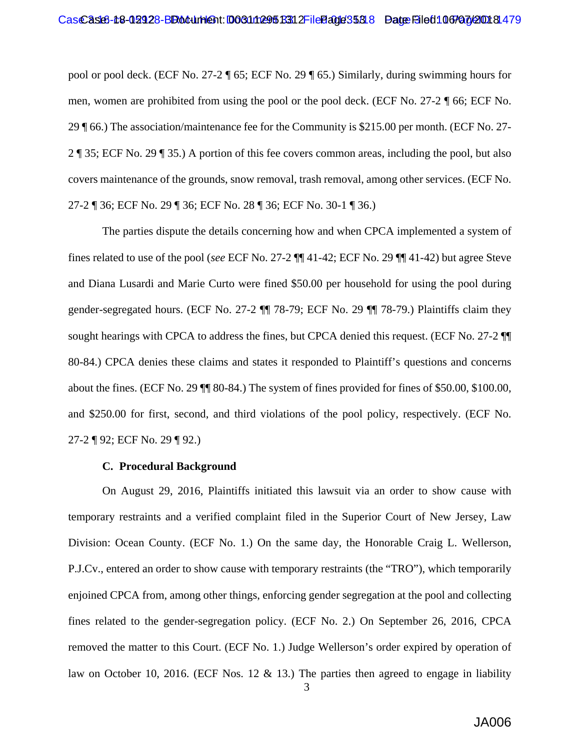pool or pool deck. (ECF No. 27-2 ¶ 65; ECF No. 29 ¶ 65.) Similarly, during swimming hours for men, women are prohibited from using the pool or the pool deck. (ECF No. 27-2 ¶ 66; ECF No. 29 ¶ 66.) The association/maintenance fee for the Community is \$215.00 per month. (ECF No. 27- 2 ¶ 35; ECF No. 29 ¶ 35.) A portion of this fee covers common areas, including the pool, but also covers maintenance of the grounds, snow removal, trash removal, among other services. (ECF No. 27-2 ¶ 36; ECF No. 29 ¶ 36; ECF No. 28 ¶ 36; ECF No. 30-1 ¶ 36.)

The parties dispute the details concerning how and when CPCA implemented a system of fines related to use of the pool (*see* ECF No. 27-2 ¶¶ 41-42; ECF No. 29 ¶¶ 41-42) but agree Steve and Diana Lusardi and Marie Curto were fined \$50.00 per household for using the pool during gender-segregated hours. (ECF No. 27-2 ¶¶ 78-79; ECF No. 29 ¶¶ 78-79.) Plaintiffs claim they sought hearings with CPCA to address the fines, but CPCA denied this request. (ECF No. 27-2  $\P$ 80-84.) CPCA denies these claims and states it responded to Plaintiff's questions and concerns about the fines. (ECF No. 29 ¶¶ 80-84.) The system of fines provided for fines of \$50.00, \$100.00, and \$250.00 for first, second, and third violations of the pool policy, respectively. (ECF No. 27-2 ¶ 92; ECF No. 29 ¶ 92.)

#### **C. Procedural Background**

On August 29, 2016, Plaintiffs initiated this lawsuit via an order to show cause with temporary restraints and a verified complaint filed in the Superior Court of New Jersey, Law Division: Ocean County. (ECF No. 1.) On the same day, the Honorable Craig L. Wellerson, P.J.Cv., entered an order to show cause with temporary restraints (the "TRO"), which temporarily enjoined CPCA from, among other things, enforcing gender segregation at the pool and collecting fines related to the gender-segregation policy. (ECF No. 2.) On September 26, 2016, CPCA removed the matter to this Court. (ECF No. 1.) Judge Wellerson's order expired by operation of law on October 10, 2016. (ECF Nos. 12  $\&$  13.) The parties then agreed to engage in liability

3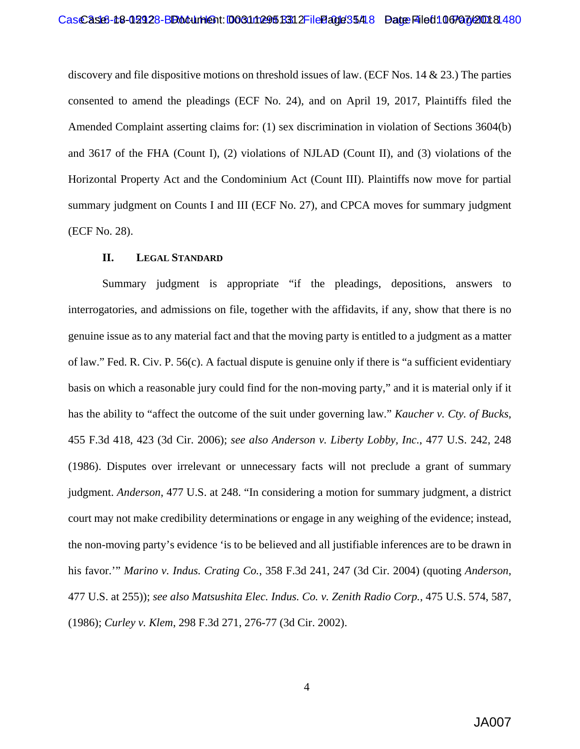discovery and file dispositive motions on threshold issues of law. (ECF Nos. 14 & 23.) The parties consented to amend the pleadings (ECF No. 24), and on April 19, 2017, Plaintiffs filed the Amended Complaint asserting claims for: (1) sex discrimination in violation of Sections 3604(b) and 3617 of the FHA (Count I), (2) violations of NJLAD (Count II), and (3) violations of the Horizontal Property Act and the Condominium Act (Count III). Plaintiffs now move for partial summary judgment on Counts I and III (ECF No. 27), and CPCA moves for summary judgment (ECF No. 28).

#### **II. LEGAL STANDARD**

Summary judgment is appropriate "if the pleadings, depositions, answers to interrogatories, and admissions on file, together with the affidavits, if any, show that there is no genuine issue as to any material fact and that the moving party is entitled to a judgment as a matter of law." Fed. R. Civ. P. 56(c). A factual dispute is genuine only if there is "a sufficient evidentiary basis on which a reasonable jury could find for the non-moving party," and it is material only if it has the ability to "affect the outcome of the suit under governing law." *Kaucher v. Cty. of Bucks*, 455 F.3d 418, 423 (3d Cir. 2006); *see also Anderson v. Liberty Lobby, Inc.*, 477 U.S. 242, 248 (1986). Disputes over irrelevant or unnecessary facts will not preclude a grant of summary judgment. *Anderson*, 477 U.S. at 248. "In considering a motion for summary judgment, a district court may not make credibility determinations or engage in any weighing of the evidence; instead, the non-moving party's evidence 'is to be believed and all justifiable inferences are to be drawn in his favor.'" *Marino v. Indus. Crating Co.*, 358 F.3d 241, 247 (3d Cir. 2004) (quoting *Anderson*, 477 U.S. at 255)); *see also Matsushita Elec. Indus. Co. v. Zenith Radio Corp.*, 475 U.S. 574, 587, (1986); *Curley v. Klem*, 298 F.3d 271, 276-77 (3d Cir. 2002).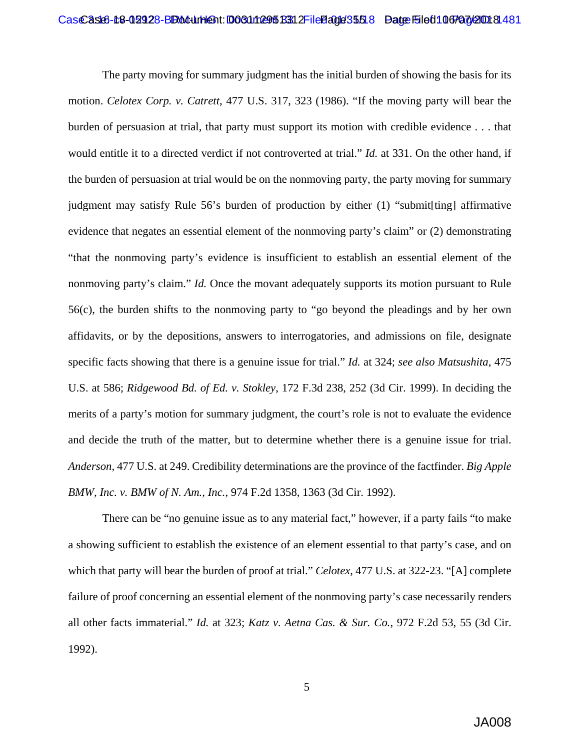The party moving for summary judgment has the initial burden of showing the basis for its motion. *Celotex Corp. v. Catrett*, 477 U.S. 317, 323 (1986). "If the moving party will bear the burden of persuasion at trial, that party must support its motion with credible evidence . . . that would entitle it to a directed verdict if not controverted at trial." *Id.* at 331. On the other hand, if the burden of persuasion at trial would be on the nonmoving party, the party moving for summary judgment may satisfy Rule 56's burden of production by either (1) "submit[ting] affirmative evidence that negates an essential element of the nonmoving party's claim" or (2) demonstrating "that the nonmoving party's evidence is insufficient to establish an essential element of the nonmoving party's claim." *Id.* Once the movant adequately supports its motion pursuant to Rule 56(c), the burden shifts to the nonmoving party to "go beyond the pleadings and by her own affidavits, or by the depositions, answers to interrogatories, and admissions on file, designate specific facts showing that there is a genuine issue for trial." *Id.* at 324; *see also Matsushita*, 475 U.S. at 586; *Ridgewood Bd. of Ed. v. Stokley*, 172 F.3d 238, 252 (3d Cir. 1999). In deciding the merits of a party's motion for summary judgment, the court's role is not to evaluate the evidence and decide the truth of the matter, but to determine whether there is a genuine issue for trial. *Anderson*, 477 U.S. at 249. Credibility determinations are the province of the factfinder. *Big Apple BMW, Inc. v. BMW of N. Am., Inc.*, 974 F.2d 1358, 1363 (3d Cir. 1992).

There can be "no genuine issue as to any material fact," however, if a party fails "to make a showing sufficient to establish the existence of an element essential to that party's case, and on which that party will bear the burden of proof at trial." *Celotex*, 477 U.S. at 322-23. "[A] complete failure of proof concerning an essential element of the nonmoving party's case necessarily renders all other facts immaterial." *Id.* at 323; *Katz v. Aetna Cas. & Sur. Co.*, 972 F.2d 53, 55 (3d Cir. 1992).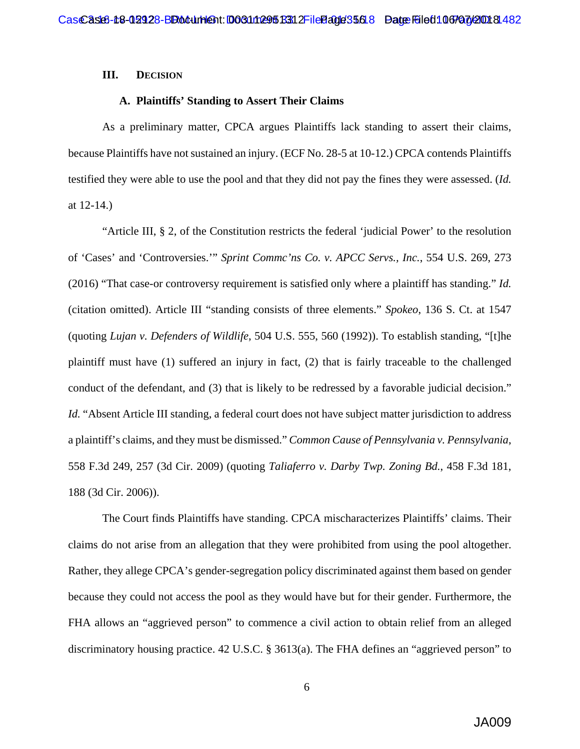#### **III. DECISION**

#### **A. Plaintiffs' Standing to Assert Their Claims**

As a preliminary matter, CPCA argues Plaintiffs lack standing to assert their claims, because Plaintiffs have not sustained an injury. (ECF No. 28-5 at 10-12.) CPCA contends Plaintiffs testified they were able to use the pool and that they did not pay the fines they were assessed. (*Id.*  at 12-14.)

"Article III, § 2, of the Constitution restricts the federal 'judicial Power' to the resolution of 'Cases' and 'Controversies.'" *Sprint Commc'ns Co. v. APCC Servs., Inc.*, 554 U.S. 269, 273 (2016) "That case-or controversy requirement is satisfied only where a plaintiff has standing." *Id.*  (citation omitted). Article III "standing consists of three elements." *Spokeo*, 136 S. Ct. at 1547 (quoting *Lujan v. Defenders of Wildlife*, 504 U.S. 555, 560 (1992)). To establish standing, "[t]he plaintiff must have (1) suffered an injury in fact, (2) that is fairly traceable to the challenged conduct of the defendant, and (3) that is likely to be redressed by a favorable judicial decision." *Id.* "Absent Article III standing, a federal court does not have subject matter jurisdiction to address a plaintiff's claims, and they must be dismissed." *Common Cause of Pennsylvania v. Pennsylvania*, 558 F.3d 249, 257 (3d Cir. 2009) (quoting *Taliaferro v. Darby Twp. Zoning Bd.*, 458 F.3d 181, 188 (3d Cir. 2006)).

The Court finds Plaintiffs have standing. CPCA mischaracterizes Plaintiffs' claims. Their claims do not arise from an allegation that they were prohibited from using the pool altogether. Rather, they allege CPCA's gender-segregation policy discriminated against them based on gender because they could not access the pool as they would have but for their gender. Furthermore, the FHA allows an "aggrieved person" to commence a civil action to obtain relief from an alleged discriminatory housing practice. [42 U.S.C. § 3613\(a\).](https://1.next.westlaw.com/Link/Document/FullText?findType=L&pubNum=1000546&cite=42USCAS3613&originatingDoc=Ic3e0df4553e911d9a99c85a9e6023ffa&refType=RB&originationContext=document&transitionType=DocumentItem&contextData=(sc.Search)#co_pp_8b3b0000958a4) The FHA defines an "aggrieved person" to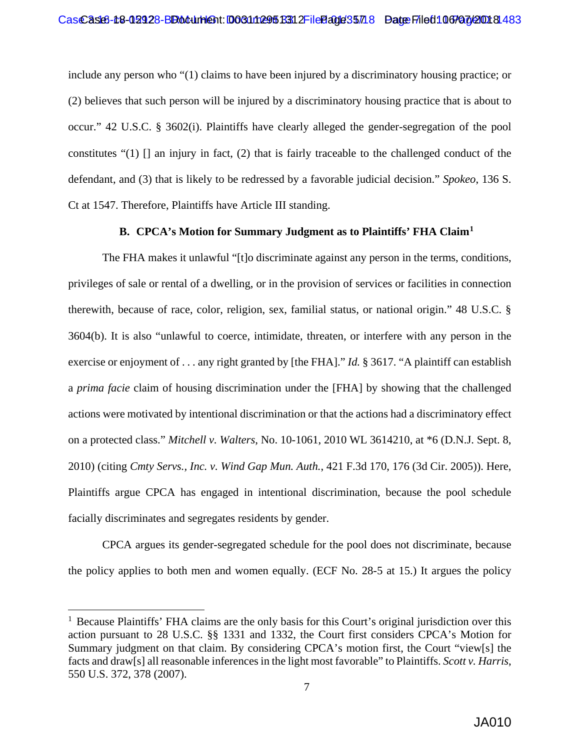include any person who "(1) claims to have been injured by a discriminatory housing practice; or (2) believes that such person will be injured by a discriminatory housing practice that is about to occur." [42 U.S.C. § 3602\(i\).](https://1.next.westlaw.com/Link/Document/FullText?findType=L&pubNum=1000546&cite=42USCAS3602&originatingDoc=Ic3e0df4553e911d9a99c85a9e6023ffa&refType=RB&originationContext=document&transitionType=DocumentItem&contextData=(sc.Search)#co_pp_17a3000024864) Plaintiffs have clearly alleged the gender-segregation of the pool constitutes "(1) [] an injury in fact, (2) that is fairly traceable to the challenged conduct of the defendant, and (3) that is likely to be redressed by a favorable judicial decision." *Spokeo*, 136 S. Ct at 1547. Therefore, Plaintiffs have Article III standing.

#### **B. CPCA's Motion for Summary Judgment as to Plaintiffs' FHA Claim[1](#page-56-0)**

The FHA makes it unlawful "[t]o discriminate against any person in the terms, conditions, privileges of sale or rental of a dwelling, or in the provision of services or facilities in connection therewith, because of race, color, religion, sex, familial status, or national origin." 48 U.S.C. § 3604(b). It is also "unlawful to coerce, intimidate, threaten, or interfere with any person in the exercise or enjoyment of . . . any right granted by [the FHA]." *Id.* § 3617. "A plaintiff can establish a *prima facie* claim of housing discrimination under the [FHA] by showing that the challenged actions were motivated by intentional discrimination or that the actions had a discriminatory effect on a protected class." *Mitchell v. Walters*, No. 10-1061, 2010 WL 3614210, at \*6 (D.N.J. Sept. 8, 2010) (citing *Cmty Servs., Inc. v. Wind Gap Mun. Auth.*, 421 F.3d 170, 176 (3d Cir. 2005)). Here, Plaintiffs argue CPCA has engaged in intentional discrimination, because the pool schedule facially discriminates and segregates residents by gender.

CPCA argues its gender-segregated schedule for the pool does not discriminate, because the policy applies to both men and women equally. (ECF No. 28-5 at 15.) It argues the policy

<span id="page-56-0"></span><sup>&</sup>lt;sup>1</sup> Because Plaintiffs' FHA claims are the only basis for this Court's original jurisdiction over this action pursuant to 28 U.S.C. §§ 1331 and 1332, the Court first considers CPCA's Motion for Summary judgment on that claim. By considering CPCA's motion first, the Court "view[s] the facts and draw[s] all reasonable inferences in the light most favorable" to Plaintiffs. *Scott v. Harris*, 550 U.S. 372, 378 (2007).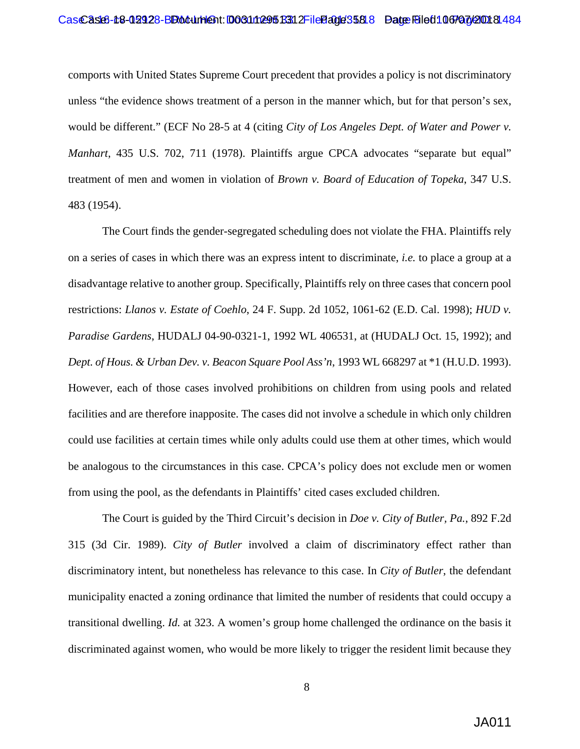#### Cas Cast6-18-02928-BB o dument: 003111295 B312 File Eage 35818 Date File 611 067 a 7/2001 81484

comports with United States Supreme Court precedent that provides a policy is not discriminatory unless "the evidence shows treatment of a person in the manner which, but for that person's sex, would be different." (ECF No 28-5 at 4 (citing *City of Los Angeles Dept. of Water and Power v. Manhart*, 435 U.S. 702, 711 (1978). Plaintiffs argue CPCA advocates "separate but equal" treatment of men and women in violation of *Brown v. Board of Education of Topeka*, 347 U.S. 483 (1954).

The Court finds the gender-segregated scheduling does not violate the FHA. Plaintiffs rely on a series of cases in which there was an express intent to discriminate, *i.e.* to place a group at a disadvantage relative to another group. Specifically, Plaintiffs rely on three cases that concern pool restrictions: *Llanos v. Estate of Coehlo*, 24 F. Supp. 2d 1052, 1061-62 (E.D. Cal. 1998); *HUD v. Paradise Gardens*, HUDALJ 04-90-0321-1, 1992 WL 406531, at (HUDALJ Oct. 15, 1992); and *Dept. of Hous. & Urban Dev. v. Beacon Square Pool Ass'n*, 1993 WL 668297 at \*1 (H.U.D. 1993). However, each of those cases involved prohibitions on children from using pools and related facilities and are therefore inapposite. The cases did not involve a schedule in which only children could use facilities at certain times while only adults could use them at other times, which would be analogous to the circumstances in this case. CPCA's policy does not exclude men or women from using the pool, as the defendants in Plaintiffs' cited cases excluded children.

The Court is guided by the Third Circuit's decision in *Doe v. City of Butler, Pa.*, 892 F.2d 315 (3d Cir. 1989). *City of Butler* involved a claim of discriminatory effect rather than discriminatory intent, but nonetheless has relevance to this case. In *City of Butler*, the defendant municipality enacted a zoning ordinance that limited the number of residents that could occupy a transitional dwelling. *Id.* at 323. A women's group home challenged the ordinance on the basis it discriminated against women, who would be more likely to trigger the resident limit because they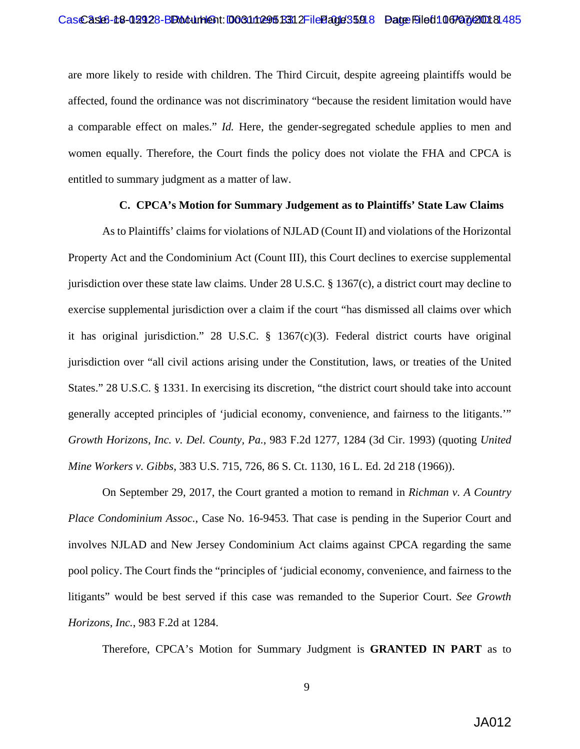are more likely to reside with children. The Third Circuit, despite agreeing plaintiffs would be affected, found the ordinance was not discriminatory "because the resident limitation would have a comparable effect on males." *Id.* Here, the gender-segregated schedule applies to men and women equally. Therefore, the Court finds the policy does not violate the FHA and CPCA is entitled to summary judgment as a matter of law.

#### **C. CPCA's Motion for Summary Judgement as to Plaintiffs' State Law Claims**

As to Plaintiffs' claims for violations of NJLAD (Count II) and violations of the Horizontal Property Act and the Condominium Act (Count III), this Court declines to exercise supplemental jurisdiction over these state law claims. Under 28 U.S.C. § 1367(c), a district court may decline to exercise supplemental jurisdiction over a claim if the court "has dismissed all claims over which it has original jurisdiction." 28 U.S.C.  $\S$  1367(c)(3). Federal district courts have original jurisdiction over "all civil actions arising under the Constitution, laws, or treaties of the United States." 28 U.S.C. § 1331. In exercising its discretion, "the district court should take into account generally accepted principles of 'judicial economy, convenience, and fairness to the litigants.'" *Growth Horizons, Inc. v. Del. County, Pa.*, 983 F.2d 1277, 1284 (3d Cir. 1993) (quoting *United Mine Workers v. Gibbs*, 383 U.S. 715, 726, 86 S. Ct. 1130, 16 L. Ed. 2d 218 (1966)).

On September 29, 2017, the Court granted a motion to remand in *Richman v. A Country Place Condominium Assoc.*, Case No. 16-9453. That case is pending in the Superior Court and involves NJLAD and New Jersey Condominium Act claims against CPCA regarding the same pool policy. The Court finds the "principles of 'judicial economy, convenience, and fairness to the litigants" would be best served if this case was remanded to the Superior Court. *See Growth Horizons, Inc.*, 983 F.2d at 1284.

Therefore, CPCA's Motion for Summary Judgment is **GRANTED IN PART** as to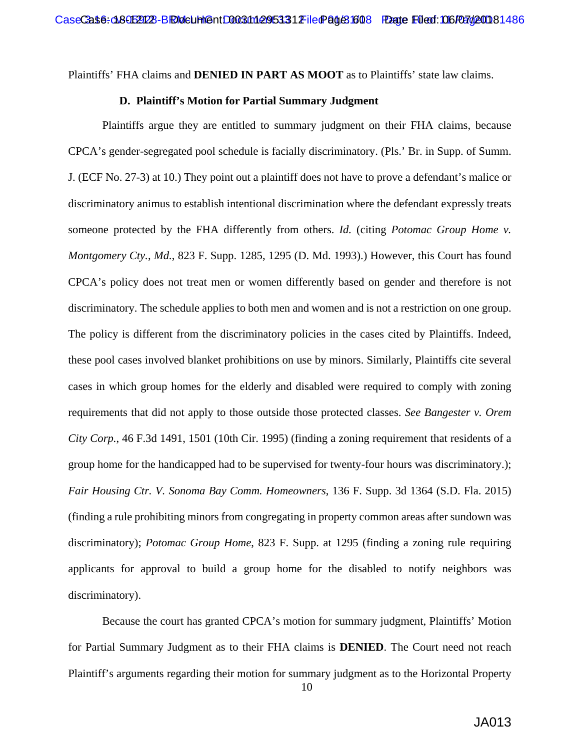Plaintiffs' FHA claims and **DENIED IN PART AS MOOT** as to Plaintiffs' state law claims.

### **D. Plaintiff's Motion for Partial Summary Judgment**

Plaintiffs argue they are entitled to summary judgment on their FHA claims, because CPCA's gender-segregated pool schedule is facially discriminatory. (Pls.' Br. in Supp. of Summ. J. (ECF No. 27-3) at 10.) They point out a plaintiff does not have to prove a defendant's malice or discriminatory animus to establish intentional discrimination where the defendant expressly treats someone protected by the FHA differently from others. *Id.* (citing *Potomac Group Home v. Montgomery Cty.*, *Md.*, 823 F. Supp. 1285, 1295 (D. Md. 1993).) However, this Court has found CPCA's policy does not treat men or women differently based on gender and therefore is not discriminatory. The schedule applies to both men and women and is not a restriction on one group. The policy is different from the discriminatory policies in the cases cited by Plaintiffs. Indeed, these pool cases involved blanket prohibitions on use by minors. Similarly, Plaintiffs cite several cases in which group homes for the elderly and disabled were required to comply with zoning requirements that did not apply to those outside those protected classes. *See Bangester v. Orem City Corp.*, 46 F.3d 1491, 1501 (10th Cir. 1995) (finding a zoning requirement that residents of a group home for the handicapped had to be supervised for twenty-four hours was discriminatory.); *Fair Housing Ctr. V. Sonoma Bay Comm. Homeowners*, 136 F. Supp. 3d 1364 (S.D. Fla. 2015) (finding a rule prohibiting minors from congregating in property common areas after sundown was discriminatory); *Potomac Group Home*, 823 F. Supp. at 1295 (finding a zoning rule requiring applicants for approval to build a group home for the disabled to notify neighbors was discriminatory).

Because the court has granted CPCA's motion for summary judgment, Plaintiffs' Motion for Partial Summary Judgment as to their FHA claims is **DENIED**. The Court need not reach Plaintiff's arguments regarding their motion for summary judgment as to the Horizontal Property

10